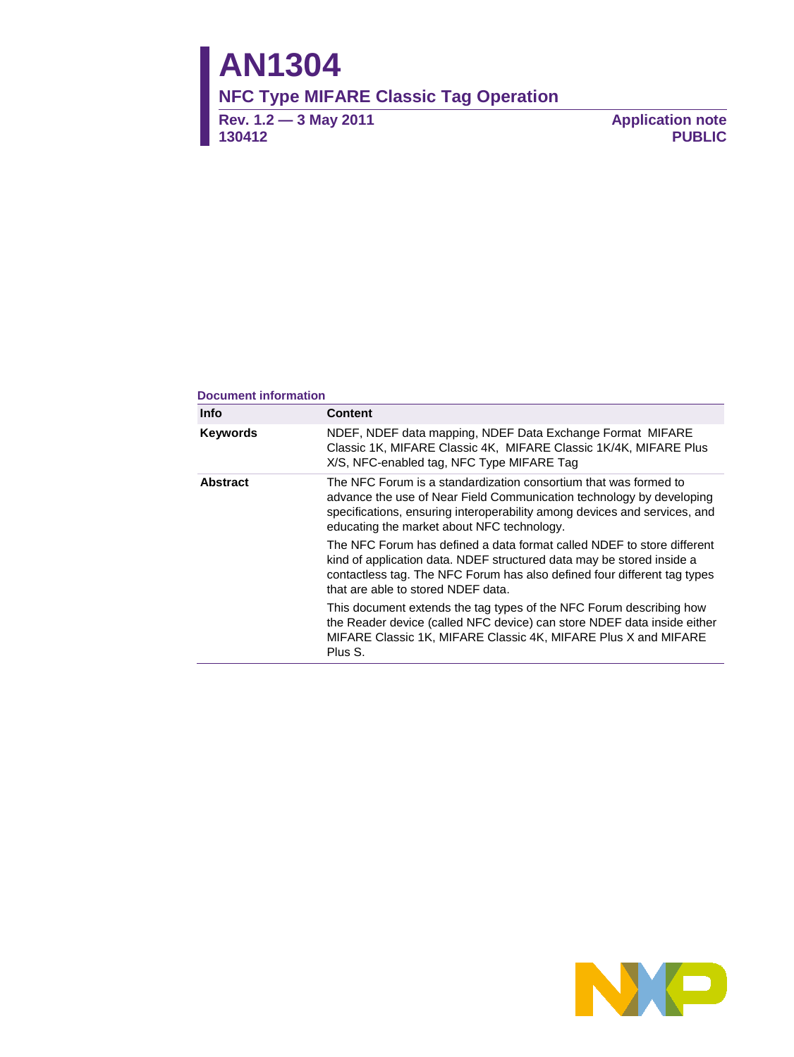# **AN1304**

## **NFC Type MIFARE Classic Tag Operation**

**Rev. 1.2 — 3 May 2011 130412**

**Application note PUBLIC**

#### **Document information**

| <b>Info</b>     | <b>Content</b>                                                                                                                                                                                                                                                      |  |  |  |  |  |  |
|-----------------|---------------------------------------------------------------------------------------------------------------------------------------------------------------------------------------------------------------------------------------------------------------------|--|--|--|--|--|--|
| <b>Keywords</b> | NDEF, NDEF data mapping, NDEF Data Exchange Format MIFARE<br>Classic 1K, MIFARE Classic 4K, MIFARE Classic 1K/4K, MIFARE Plus<br>X/S, NFC-enabled tag, NFC Type MIFARE Tag                                                                                          |  |  |  |  |  |  |
| <b>Abstract</b> | The NFC Forum is a standardization consortium that was formed to<br>advance the use of Near Field Communication technology by developing<br>specifications, ensuring interoperability among devices and services, and<br>educating the market about NFC technology. |  |  |  |  |  |  |
|                 | The NFC Forum has defined a data format called NDEF to store different<br>kind of application data. NDEF structured data may be stored inside a<br>contactless tag. The NFC Forum has also defined four different tag types<br>that are able to stored NDEF data.   |  |  |  |  |  |  |
|                 | This document extends the tag types of the NFC Forum describing how<br>the Reader device (called NFC device) can store NDEF data inside either<br>MIFARE Classic 1K, MIFARE Classic 4K, MIFARE Plus X and MIFARE<br>Plus S.                                         |  |  |  |  |  |  |

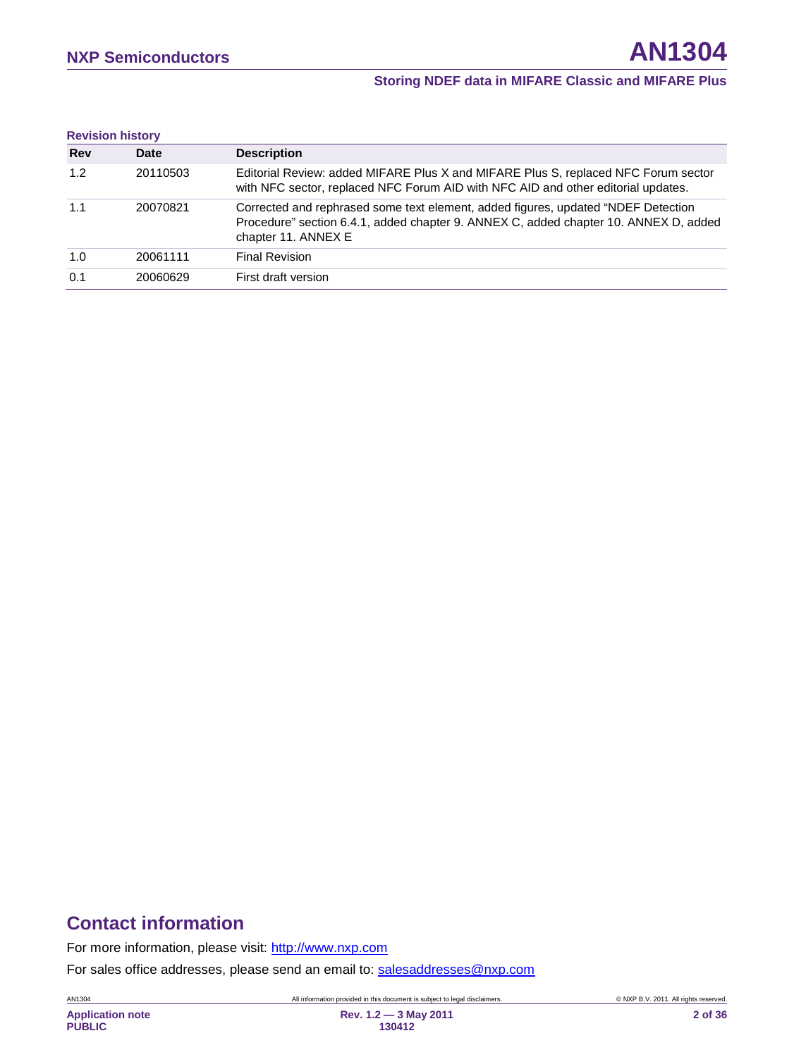| <b>Revision history</b> |          |                                                                                                                                                                                                  |
|-------------------------|----------|--------------------------------------------------------------------------------------------------------------------------------------------------------------------------------------------------|
| <b>Rev</b>              | Date     | <b>Description</b>                                                                                                                                                                               |
| 1.2                     | 20110503 | Editorial Review: added MIFARE Plus X and MIFARE Plus S, replaced NFC Forum sector<br>with NFC sector, replaced NFC Forum AID with NFC AID and other editorial updates.                          |
| 1.1                     | 20070821 | Corrected and rephrased some text element, added figures, updated "NDEF Detection<br>Procedure" section 6.4.1, added chapter 9. ANNEX C, added chapter 10. ANNEX D, added<br>chapter 11. ANNEX E |
| 1.0                     | 20061111 | <b>Final Revision</b>                                                                                                                                                                            |
| 0.1                     | 20060629 | First draft version                                                                                                                                                                              |

## **Contact information**

For more information, please visit: [http://www.nxp.com](http://www.nxp.com/)

For sales office addresses, please send an email to: [salesaddresses@nxp.com](mailto:salesaddresses@nxp.com)

AN1304 All information provided in this document is subject to legal disclaimers. © NXP B.V. 2011. All rights reserved.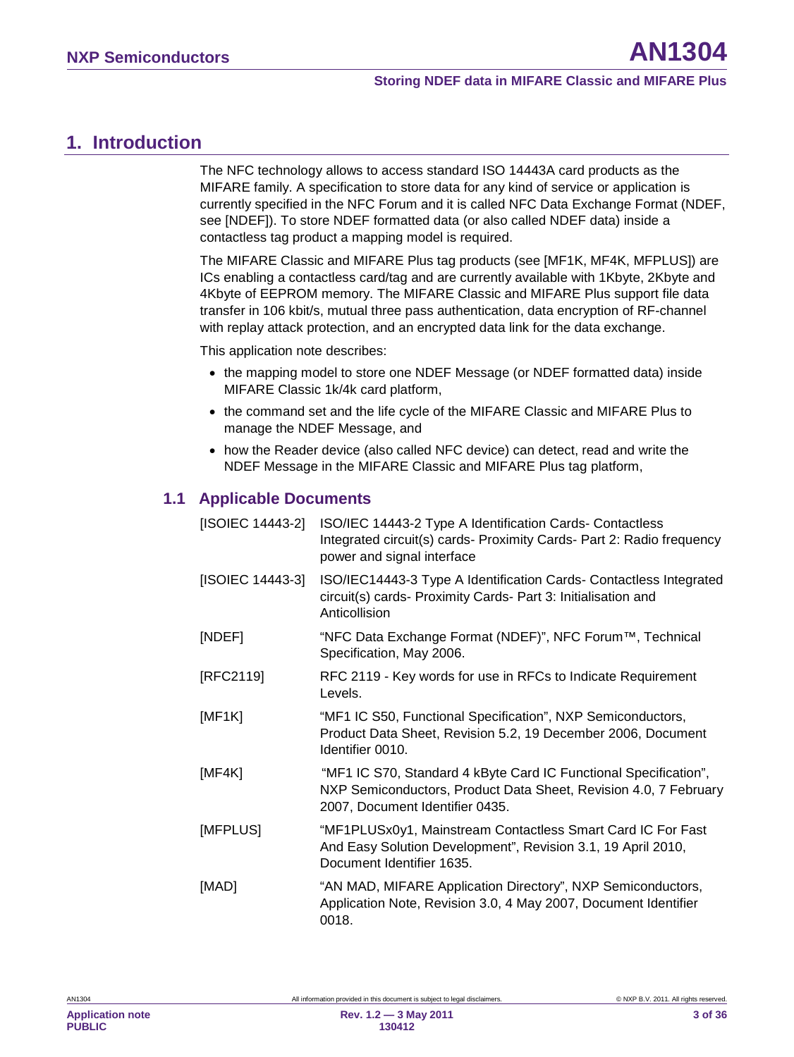## <span id="page-2-0"></span>**1. Introduction**

The NFC technology allows to access standard ISO 14443A card products as the MIFARE family. A specification to store data for any kind of service or application is currently specified in the NFC Forum and it is called NFC Data Exchange Format (NDEF, see [NDEF]). To store NDEF formatted data (or also called NDEF data) inside a contactless tag product a mapping model is required.

The MIFARE Classic and MIFARE Plus tag products (see [MF1K, MF4K, MFPLUS]) are ICs enabling a contactless card/tag and are currently available with 1Kbyte, 2Kbyte and 4Kbyte of EEPROM memory. The MIFARE Classic and MIFARE Plus support file data transfer in 106 kbit/s, mutual three pass authentication, data encryption of RF-channel with replay attack protection, and an encrypted data link for the data exchange.

This application note describes:

- the mapping model to store one NDEF Message (or NDEF formatted data) inside MIFARE Classic 1k/4k card platform,
- the command set and the life cycle of the MIFARE Classic and MIFARE Plus to manage the NDEF Message, and
- <span id="page-2-1"></span>• how the Reader device (also called NFC device) can detect, read and write the NDEF Message in the MIFARE Classic and MIFARE Plus tag platform,

## **1.1 Applicable Documents**

| [ISOIEC 14443-2] | ISO/IEC 14443-2 Type A Identification Cards- Contactless<br>Integrated circuit(s) cards- Proximity Cards- Part 2: Radio frequency<br>power and signal interface         |
|------------------|-------------------------------------------------------------------------------------------------------------------------------------------------------------------------|
| [ISOIEC 14443-3] | ISO/IEC14443-3 Type A Identification Cards- Contactless Integrated<br>circuit(s) cards- Proximity Cards- Part 3: Initialisation and<br>Anticollision                    |
| [NDEF]           | "NFC Data Exchange Format (NDEF)", NFC Forum™, Technical<br>Specification, May 2006.                                                                                    |
| [RFC2119]        | RFC 2119 - Key words for use in RFCs to Indicate Requirement<br>Levels.                                                                                                 |
| [MF1K]           | "MF1 IC S50, Functional Specification", NXP Semiconductors,<br>Product Data Sheet, Revision 5.2, 19 December 2006, Document<br>Identifier 0010.                         |
| [MF4K]           | "MF1 IC S70, Standard 4 kByte Card IC Functional Specification",<br>NXP Semiconductors, Product Data Sheet, Revision 4.0, 7 February<br>2007, Document Identifier 0435. |
| [MFPLUS]         | "MF1PLUSx0y1, Mainstream Contactless Smart Card IC For Fast<br>And Easy Solution Development", Revision 3.1, 19 April 2010,<br>Document Identifier 1635.                |
| [MAD]            | "AN MAD, MIFARE Application Directory", NXP Semiconductors,<br>Application Note, Revision 3.0, 4 May 2007, Document Identifier<br>0018.                                 |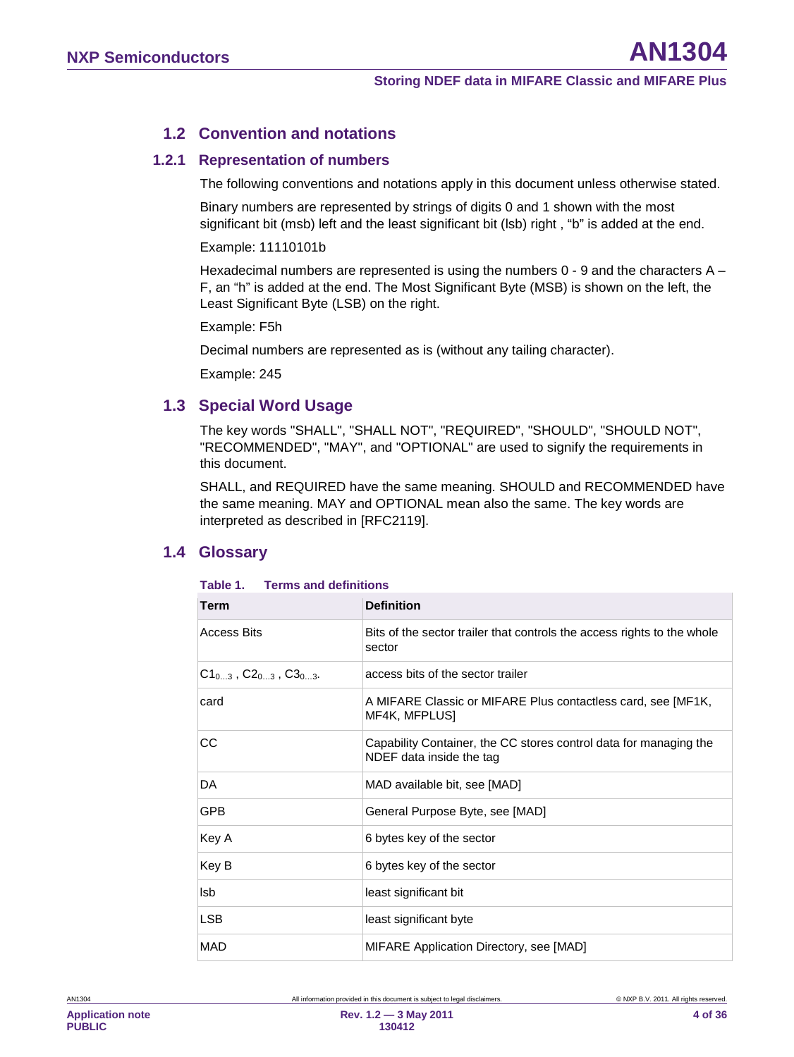#### <span id="page-3-0"></span>**1.2 Convention and notations**

#### **1.2.1 Representation of numbers**

<span id="page-3-1"></span>The following conventions and notations apply in this document unless otherwise stated.

Binary numbers are represented by strings of digits 0 and 1 shown with the most significant bit (msb) left and the least significant bit (lsb) right, "b" is added at the end.

Example: 11110101b

Hexadecimal numbers are represented is using the numbers  $0 - 9$  and the characters  $A -$ F, an "h" is added at the end. The Most Significant Byte (MSB) is shown on the left, the Least Significant Byte (LSB) on the right.

Example: F5h

Decimal numbers are represented as is (without any tailing character).

<span id="page-3-2"></span>Example: 245

#### **1.3 Special Word Usage**

The key words "SHALL", "SHALL NOT", "REQUIRED", "SHOULD", "SHOULD NOT", "RECOMMENDED", "MAY", and "OPTIONAL" are used to signify the requirements in this document.

SHALL, and REQUIRED have the same meaning. SHOULD and RECOMMENDED have the same meaning. MAY and OPTIONAL mean also the same. The key words are interpreted as described in [RFC2119].

#### <span id="page-3-3"></span>**1.4 Glossary**

| Term                                   | <b>Definition</b>                                                                             |
|----------------------------------------|-----------------------------------------------------------------------------------------------|
| <b>Access Bits</b>                     | Bits of the sector trailer that controls the access rights to the whole<br>sector             |
| $C1_{0,3}$ , $C2_{0,3}$ , $C3_{0,3}$ . | access bits of the sector trailer                                                             |
| card                                   | A MIFARE Classic or MIFARE Plus contactless card, see [MF1K,<br>MF4K, MFPLUS]                 |
| CС                                     | Capability Container, the CC stores control data for managing the<br>NDEF data inside the tag |
| DA                                     | MAD available bit, see [MAD]                                                                  |
| <b>GPB</b>                             | General Purpose Byte, see [MAD]                                                               |
| Key A                                  | 6 bytes key of the sector                                                                     |
| Key B                                  | 6 bytes key of the sector                                                                     |
| lsb                                    | least significant bit                                                                         |
| <b>LSB</b>                             | least significant byte                                                                        |
| <b>MAD</b>                             | MIFARE Application Directory, see [MAD]                                                       |

#### **Table 1. Terms and definitions**

**4 of 36**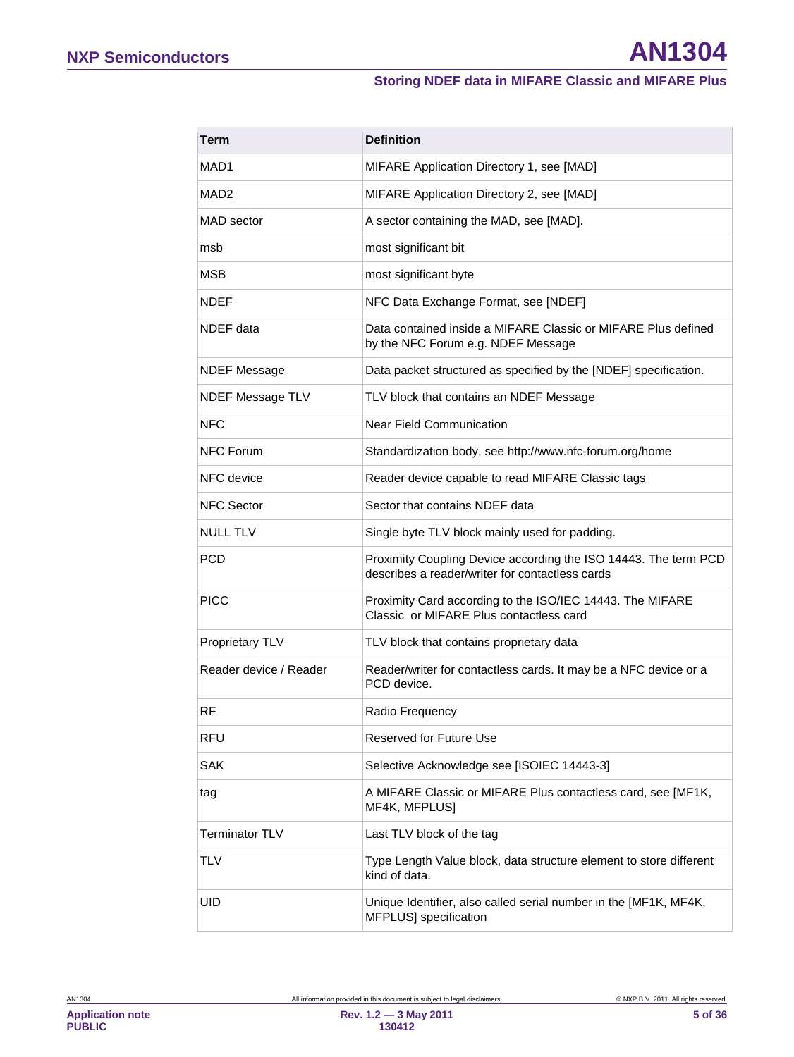| Term                   | <b>Definition</b>                                                                                                  |
|------------------------|--------------------------------------------------------------------------------------------------------------------|
| MAD1                   | MIFARE Application Directory 1, see [MAD]                                                                          |
| MAD <sub>2</sub>       | MIFARE Application Directory 2, see [MAD]                                                                          |
| MAD sector             | A sector containing the MAD, see [MAD].                                                                            |
| msb                    | most significant bit                                                                                               |
| <b>MSB</b>             | most significant byte                                                                                              |
| <b>NDEF</b>            | NFC Data Exchange Format, see [NDEF]                                                                               |
| NDEF data              | Data contained inside a MIFARE Classic or MIFARE Plus defined<br>by the NFC Forum e.g. NDEF Message                |
| <b>NDEF Message</b>    | Data packet structured as specified by the [NDEF] specification.                                                   |
| NDEF Message TLV       | TLV block that contains an NDEF Message                                                                            |
| <b>NFC</b>             | Near Field Communication                                                                                           |
| <b>NFC Forum</b>       | Standardization body, see http://www.nfc-forum.org/home                                                            |
| NFC device             | Reader device capable to read MIFARE Classic tags                                                                  |
| <b>NFC Sector</b>      | Sector that contains NDEF data                                                                                     |
| NULL TLV               | Single byte TLV block mainly used for padding.                                                                     |
| PCD                    | Proximity Coupling Device according the ISO 14443. The term PCD<br>describes a reader/writer for contactless cards |
| PICC                   | Proximity Card according to the ISO/IEC 14443. The MIFARE<br>Classic or MIFARE Plus contactless card               |
| Proprietary TLV        | TLV block that contains proprietary data                                                                           |
| Reader device / Reader | Reader/writer for contactless cards. It may be a NFC device or a<br>PCD device.                                    |
| RF                     | Radio Frequency                                                                                                    |
| RFU                    | Reserved for Future Use                                                                                            |
| <b>SAK</b>             | Selective Acknowledge see [ISOIEC 14443-3]                                                                         |
| tag                    | A MIFARE Classic or MIFARE Plus contactless card, see [MF1K,<br>MF4K, MFPLUS]                                      |
| <b>Terminator TLV</b>  | Last TLV block of the tag                                                                                          |
| TLV                    | Type Length Value block, data structure element to store different<br>kind of data.                                |
| UID                    | Unique Identifier, also called serial number in the [MF1K, MF4K,<br>MFPLUS] specification                          |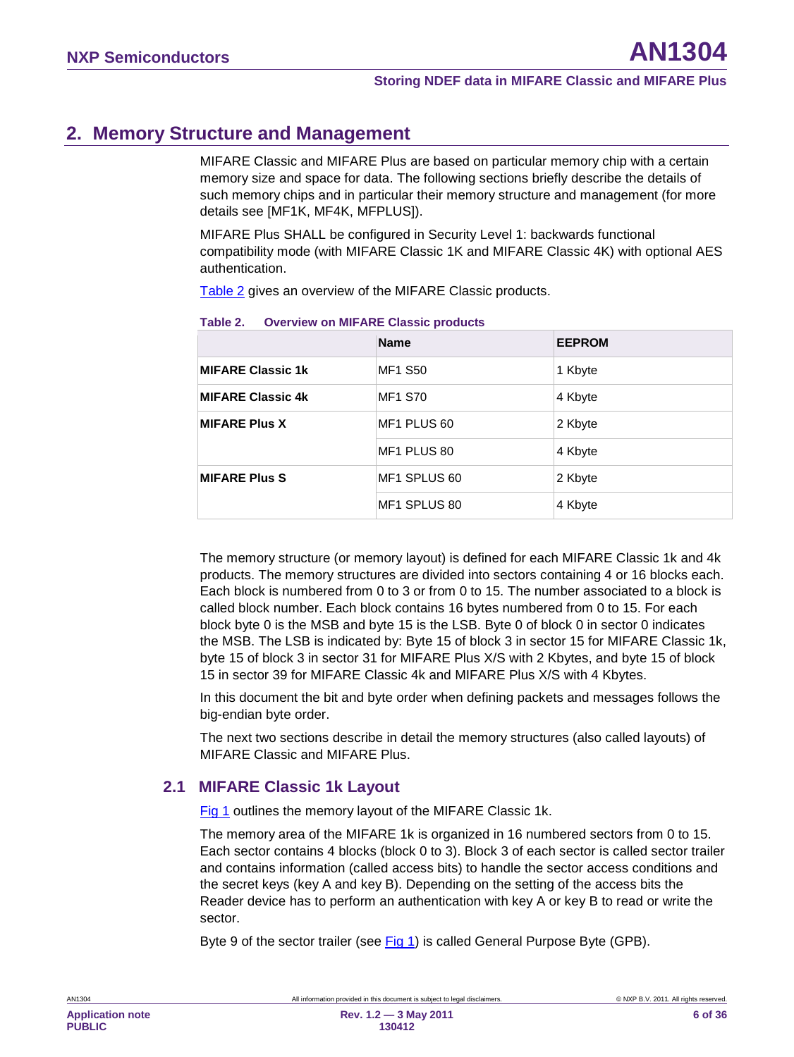## <span id="page-5-2"></span>**2. Memory Structure and Management**

MIFARE Classic and MIFARE Plus are based on particular memory chip with a certain memory size and space for data. The following sections briefly describe the details of such memory chips and in particular their memory structure and management (for more details see [MF1K, MF4K, MFPLUS]).

MIFARE Plus SHALL be configured in Security Level 1: backwards functional compatibility mode (with MIFARE Classic 1K and MIFARE Classic 4K) with optional AES authentication.

[Table 2](#page-5-0) gives an overview of the MIFARE Classic products.

|                          | <b>Name</b>    | <b>EEPROM</b> |
|--------------------------|----------------|---------------|
| <b>MIFARE Classic 1k</b> | MF1 S50        | 1 Kbyte       |
| <b>MIFARE Classic 4k</b> | <b>MF1 S70</b> | 4 Kbyte       |
| <b>MIFARE Plus X</b>     | MF1 PLUS 60    | 2 Kbyte       |
|                          | MF1 PLUS 80    | 4 Kbyte       |
| <b>MIFARE Plus S</b>     | MF1 SPLUS 60   | 2 Kbyte       |
|                          | MF1 SPLUS 80   | 4 Kbyte       |

#### <span id="page-5-0"></span>**Table 2. Overview on MIFARE Classic products**

The memory structure (or memory layout) is defined for each MIFARE Classic 1k and 4k products. The memory structures are divided into sectors containing 4 or 16 blocks each. Each block is numbered from 0 to 3 or from 0 to 15. The number associated to a block is called block number. Each block contains 16 bytes numbered from 0 to 15. For each block byte 0 is the MSB and byte 15 is the LSB. Byte 0 of block 0 in sector 0 indicates the MSB. The LSB is indicated by: Byte 15 of block 3 in sector 15 for MIFARE Classic 1k, byte 15 of block 3 in sector 31 for MIFARE Plus X/S with 2 Kbytes, and byte 15 of block 15 in sector 39 for MIFARE Classic 4k and MIFARE Plus X/S with 4 Kbytes.

In this document the bit and byte order when defining packets and messages follows the big-endian byte order.

The next two sections describe in detail the memory structures (also called layouts) of MIFARE Classic and MIFARE Plus.

#### <span id="page-5-1"></span>**2.1 MIFARE Classic 1k Layout**

[Fig 1](#page-6-0) outlines the memory layout of the MIFARE Classic 1k.

The memory area of the MIFARE 1k is organized in 16 numbered sectors from 0 to 15. Each sector contains 4 blocks (block 0 to 3). Block 3 of each sector is called sector trailer and contains information (called access bits) to handle the sector access conditions and the secret keys (key A and key B). Depending on the setting of the access bits the Reader device has to perform an authentication with key A or key B to read or write the sector.

Byte 9 of the sector trailer (see [Fig 1\)](#page-6-0) is called General Purpose Byte (GPB).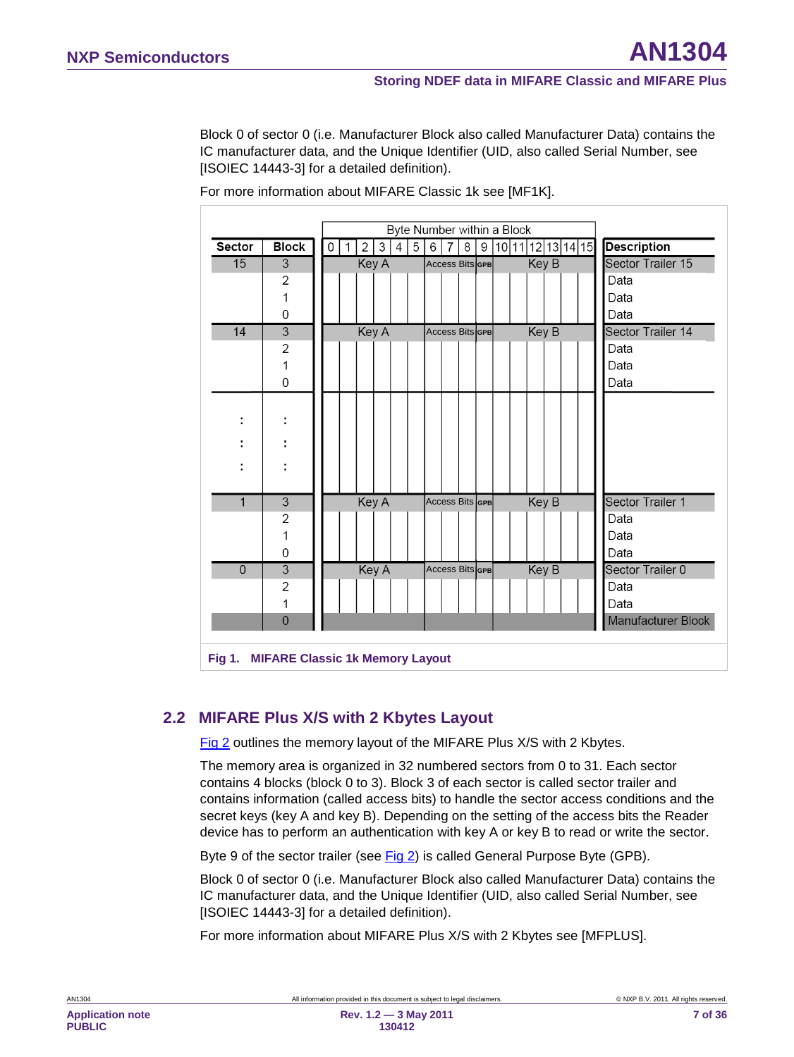Block 0 of sector 0 (i.e. Manufacturer Block also called Manufacturer Data) contains the IC manufacturer data, and the Unique Identifier (UID, also called Serial Number, see [ISOIEC 14443-3] for a detailed definition).

|                |                                        | Byte Number within a Block |  |              |              |   |   |   |                        |   |             |  |              |                   |                    |
|----------------|----------------------------------------|----------------------------|--|--------------|--------------|---|---|---|------------------------|---|-------------|--|--------------|-------------------|--------------------|
| <b>Sector</b>  | <b>Block</b>                           | 0                          |  | $\mathbf{2}$ | 3            | 4 | 5 | 6 | 7                      | 8 | $\mathsf g$ |  |              | 10 11 12 13 14 15 | <b>Description</b> |
| 15             | 3                                      |                            |  | Key A        |              |   |   |   | <b>Access Bits GPB</b> |   |             |  | Key B        |                   | Sector Trailer 15  |
|                | 2                                      |                            |  |              |              |   |   |   |                        |   |             |  |              |                   | Data               |
|                | 1                                      |                            |  |              |              |   |   |   |                        |   |             |  |              |                   | Data               |
|                | 0                                      |                            |  |              |              |   |   |   |                        |   |             |  |              |                   | Data               |
| 14             | $\overline{3}$                         |                            |  | Key A        |              |   |   |   | <b>Access Bits GPB</b> |   |             |  | Key B        |                   | Sector Trailer 14  |
|                | $\overline{2}$                         |                            |  |              |              |   |   |   |                        |   |             |  |              |                   | Data               |
|                | 1                                      |                            |  |              |              |   |   |   |                        |   |             |  |              |                   | Data               |
|                | 0                                      |                            |  |              |              |   |   |   |                        |   |             |  |              |                   | Data               |
|                |                                        |                            |  |              |              |   |   |   |                        |   |             |  |              |                   |                    |
| ÷              |                                        |                            |  |              |              |   |   |   |                        |   |             |  |              |                   |                    |
|                | ٠                                      |                            |  |              |              |   |   |   |                        |   |             |  |              |                   |                    |
|                |                                        |                            |  |              |              |   |   |   |                        |   |             |  |              |                   |                    |
| ٠              |                                        |                            |  |              |              |   |   |   |                        |   |             |  |              |                   |                    |
|                |                                        |                            |  |              |              |   |   |   |                        |   |             |  |              |                   |                    |
| 1              | $\mathsf 3$                            |                            |  | Key A        |              |   |   |   | <b>Access Bits GPB</b> |   |             |  | Key B        |                   | Sector Trailer 1   |
|                | 2                                      |                            |  |              |              |   |   |   |                        |   |             |  |              |                   | Data               |
|                | 1                                      |                            |  |              |              |   |   |   |                        |   |             |  |              |                   | Data               |
|                | 0                                      |                            |  |              |              |   |   |   |                        |   |             |  |              |                   | Data               |
| $\overline{0}$ | $\overline{3}$                         |                            |  |              | <b>Key A</b> |   |   |   | Access Bits GPB        |   |             |  | <b>Key B</b> |                   | Sector Trailer 0   |
|                | 2                                      |                            |  |              |              |   |   |   |                        |   |             |  |              |                   | Data               |
|                | 1                                      |                            |  |              |              |   |   |   |                        |   |             |  |              |                   | Data               |
|                | $\overline{0}$                         |                            |  |              |              |   |   |   |                        |   |             |  |              |                   | Manufacturer Block |
|                |                                        |                            |  |              |              |   |   |   |                        |   |             |  |              |                   |                    |
| Fig 1.         | <b>MIFARE Classic 1k Memory Layout</b> |                            |  |              |              |   |   |   |                        |   |             |  |              |                   |                    |

For more information about MIFARE Classic 1k see [MF1K].

#### <span id="page-6-1"></span><span id="page-6-0"></span>**2.2 MIFARE Plus X/S with 2 Kbytes Layout**

Fig 2 outlines the memory layout of the MIFARE Plus X/S with 2 Kbytes.

The memory area is organized in 32 numbered sectors from 0 to 31. Each sector contains 4 blocks (block 0 to 3). Block 3 of each sector is called sector trailer and contains information (called access bits) to handle the sector access conditions and the secret keys (key A and key B). Depending on the setting of the access bits the Reader device has to perform an authentication with key A or key B to read or write the sector.

Byte 9 of the sector trailer (see Fig 2) is called General Purpose Byte (GPB).

Block 0 of sector 0 (i.e. Manufacturer Block also called Manufacturer Data) contains the IC manufacturer data, and the Unique Identifier (UID, also called Serial Number, see [ISOIEC 14443-3] for a detailed definition).

For more information about MIFARE Plus X/S with 2 Kbytes see [MFPLUS].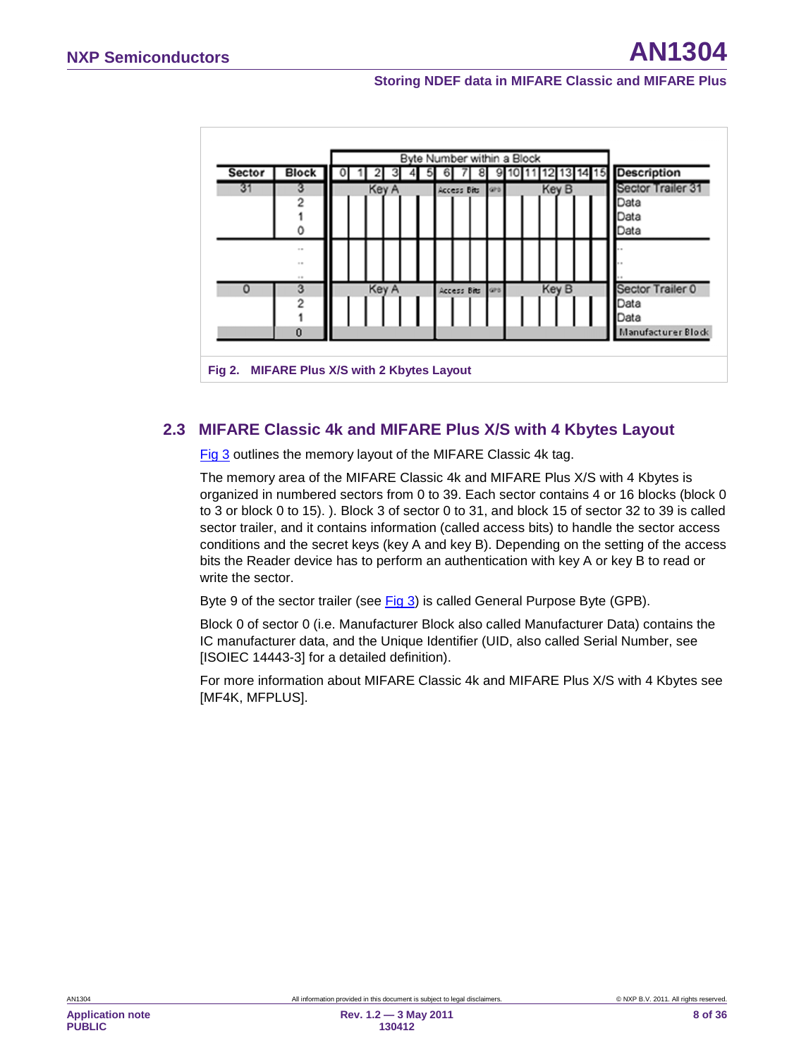

#### **2.3 MIFARE Classic 4k and MIFARE Plus X/S with 4 Kbytes Layout**

[Fig 3](#page-8-0) outlines the memory layout of the MIFARE Classic 4k tag.

The memory area of the MIFARE Classic 4k and MIFARE Plus X/S with 4 Kbytes is organized in numbered sectors from 0 to 39. Each sector contains 4 or 16 blocks (block 0 to 3 or block 0 to 15). ). Block 3 of sector 0 to 31, and block 15 of sector 32 to 39 is called sector trailer, and it contains information (called access bits) to handle the sector access conditions and the secret keys (key A and key B). Depending on the setting of the access bits the Reader device has to perform an authentication with key A or key B to read or write the sector.

Byte 9 of the sector trailer (see [Fig 3\)](#page-8-0) is called General Purpose Byte (GPB).

Block 0 of sector 0 (i.e. Manufacturer Block also called Manufacturer Data) contains the IC manufacturer data, and the Unique Identifier (UID, also called Serial Number, see [ISOIEC 14443-3] for a detailed definition).

For more information about MIFARE Classic 4k and MIFARE Plus X/S with 4 Kbytes see [MF4K, MFPLUS].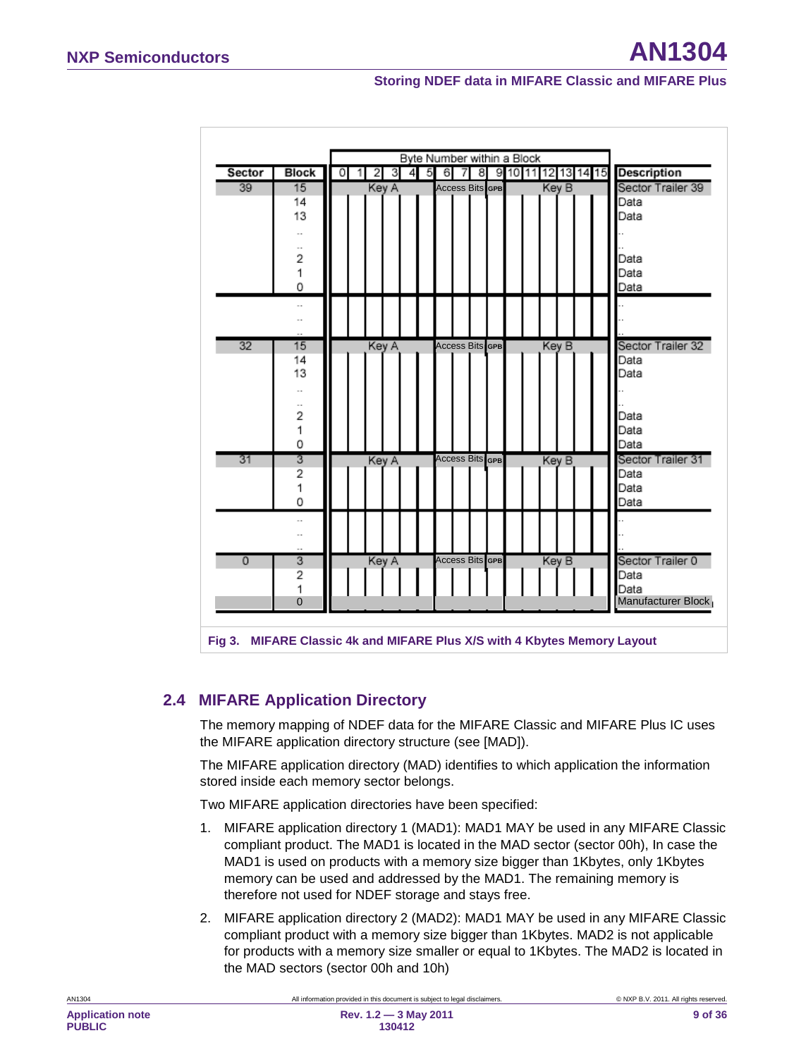| Sector         | <b>Block</b>                  | 0 | 2     | з | -5<br>4 | 67 | 8                      |  | 9 10 11 12 13 14 15 |       |  | <b>Description</b>  |
|----------------|-------------------------------|---|-------|---|---------|----|------------------------|--|---------------------|-------|--|---------------------|
| 39             | 15                            |   | Key A |   |         |    | <b>Access Bits GPB</b> |  |                     | Key B |  | Sector Trailer 39   |
|                | 14                            |   |       |   |         |    |                        |  |                     |       |  | Data                |
|                | 13                            |   |       |   |         |    |                        |  |                     |       |  | Data                |
|                | $\overline{\phantom{a}}$      |   |       |   |         |    |                        |  |                     |       |  |                     |
|                | $\overline{\phantom{a}}$      |   |       |   |         |    |                        |  |                     |       |  |                     |
|                | $\overline{2}$                |   |       |   |         |    |                        |  |                     |       |  | Data                |
|                | 1                             |   |       |   |         |    |                        |  |                     |       |  | Data                |
|                | 0                             |   |       |   |         |    |                        |  |                     |       |  | Data                |
|                | $\overline{\phantom{a}}$      |   |       |   |         |    |                        |  |                     |       |  |                     |
|                |                               |   |       |   |         |    |                        |  |                     |       |  |                     |
|                |                               |   |       |   |         |    |                        |  |                     |       |  |                     |
| 32             | 15                            |   | Key A |   |         |    | <b>Access Bits GPB</b> |  |                     | Key B |  | Sector Trailer 32   |
|                | 14                            |   |       |   |         |    |                        |  |                     |       |  | Data                |
|                | 13                            |   |       |   |         |    |                        |  |                     |       |  | Data                |
|                | $\overline{\phantom{a}}$      |   |       |   |         |    |                        |  |                     |       |  |                     |
|                | $\overline{\phantom{a}}$<br>2 |   |       |   |         |    |                        |  |                     |       |  | Data                |
|                | 1                             |   |       |   |         |    |                        |  |                     |       |  | Data                |
|                | 0                             |   |       |   |         |    |                        |  |                     |       |  | Data                |
| 31             | 3                             |   | Key A |   |         |    | Access Bits GPB        |  |                     | Key B |  | Sector Trailer 31   |
|                | $\overline{c}$                |   |       |   |         |    |                        |  |                     |       |  | Data                |
|                | 1                             |   |       |   |         |    |                        |  |                     |       |  | Data                |
|                | 0                             |   |       |   |         |    |                        |  |                     |       |  | Data                |
|                | $\overline{\phantom{a}}$      |   |       |   |         |    |                        |  |                     |       |  |                     |
|                |                               |   |       |   |         |    |                        |  |                     |       |  |                     |
|                |                               |   |       |   |         |    |                        |  |                     |       |  |                     |
| $\overline{0}$ | 3                             |   | Key A |   |         |    | <b>Access Bits</b> GPB |  |                     | Key B |  | Sector Trailer 0    |
|                | 2                             |   |       |   |         |    |                        |  |                     |       |  | Data                |
|                | 1                             |   |       |   |         |    |                        |  |                     |       |  | Data                |
|                | $\overline{0}$                |   |       |   |         |    |                        |  |                     |       |  | Manufacturer Block, |

#### <span id="page-8-1"></span><span id="page-8-0"></span>**2.4 MIFARE Application Directory**

The memory mapping of NDEF data for the MIFARE Classic and MIFARE Plus IC uses the MIFARE application directory structure (see [MAD]).

The MIFARE application directory (MAD) identifies to which application the information stored inside each memory sector belongs.

Two MIFARE application directories have been specified:

- 1. MIFARE application directory 1 (MAD1): MAD1 MAY be used in any MIFARE Classic compliant product. The MAD1 is located in the MAD sector (sector 00h), In case the MAD1 is used on products with a memory size bigger than 1Kbytes, only 1Kbytes memory can be used and addressed by the MAD1. The remaining memory is therefore not used for NDEF storage and stays free.
- 2. MIFARE application directory 2 (MAD2): MAD1 MAY be used in any MIFARE Classic compliant product with a memory size bigger than 1Kbytes. MAD2 is not applicable for products with a memory size smaller or equal to 1Kbytes. The MAD2 is located in the MAD sectors (sector 00h and 10h)

AN1304 All information provided in this document is subject to legal disclaimers. © NXP B.V. 2011. All rights reserved.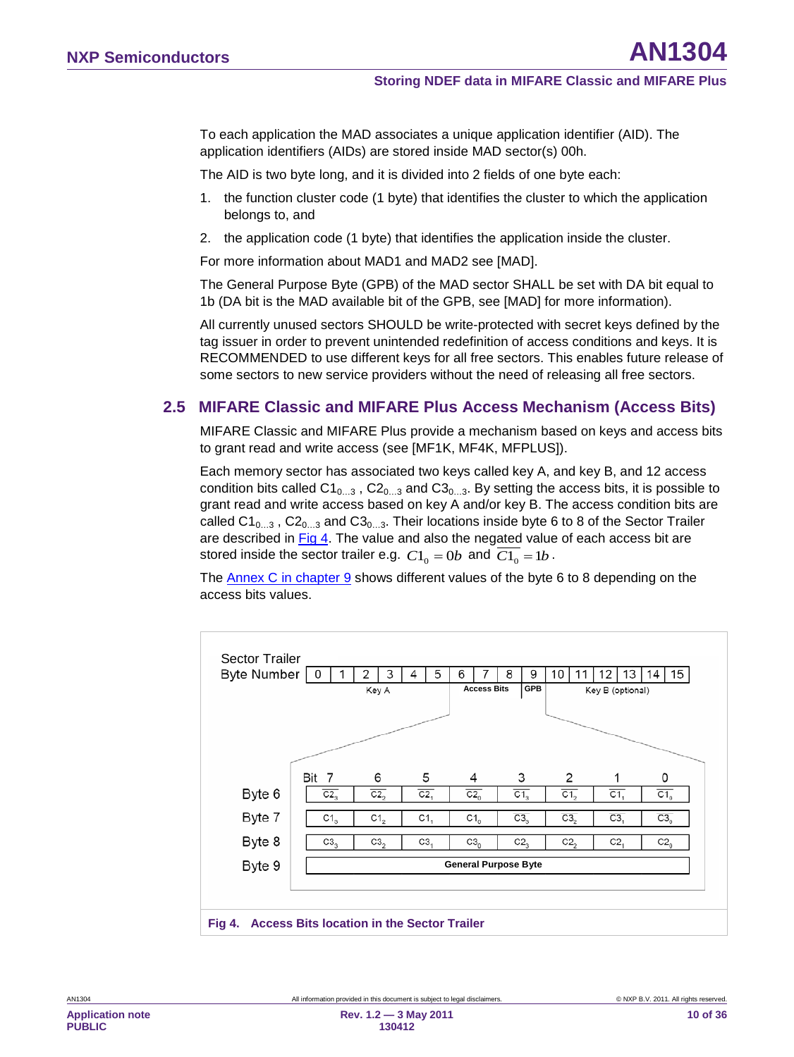To each application the MAD associates a unique application identifier (AID). The application identifiers (AIDs) are stored inside MAD sector(s) 00h.

The AID is two byte long, and it is divided into 2 fields of one byte each:

- 1. the function cluster code (1 byte) that identifies the cluster to which the application belongs to, and
- 2. the application code (1 byte) that identifies the application inside the cluster.

For more information about MAD1 and MAD2 see [MAD].

The General Purpose Byte (GPB) of the MAD sector SHALL be set with DA bit equal to 1b (DA bit is the MAD available bit of the GPB, see [MAD] for more information).

All currently unused sectors SHOULD be write-protected with secret keys defined by the tag issuer in order to prevent unintended redefinition of access conditions and keys. It is RECOMMENDED to use different keys for all free sectors. This enables future release of some sectors to new service providers without the need of releasing all free sectors.

#### <span id="page-9-1"></span>**2.5 MIFARE Classic and MIFARE Plus Access Mechanism (Access Bits)**

MIFARE Classic and MIFARE Plus provide a mechanism based on keys and access bits to grant read and write access (see [MF1K, MF4K, MFPLUS]).

Each memory sector has associated two keys called key A, and key B, and 12 access condition bits called  $C1_{0...3}$ ,  $C2_{0...3}$  and  $C3_{0...3}$ . By setting the access bits, it is possible to grant read and write access based on key A and/or key B. The access condition bits are called  $C1_{0...3}$ ,  $C2_{0...3}$  and  $C3_{0...3}$ . Their locations inside byte 6 to 8 of the Sector Trailer are described in [Fig 4.](#page-9-0) The value and also the negated value of each access bit are stored inside the sector trailer e.g.  $C1_0 = 0$ *b* and  $\overline{C1_0} = 1$ *b*.

The Annex C in chapter [9](#page-28-0) shows different values of the byte 6 to 8 depending on the access bits values.

<span id="page-9-0"></span>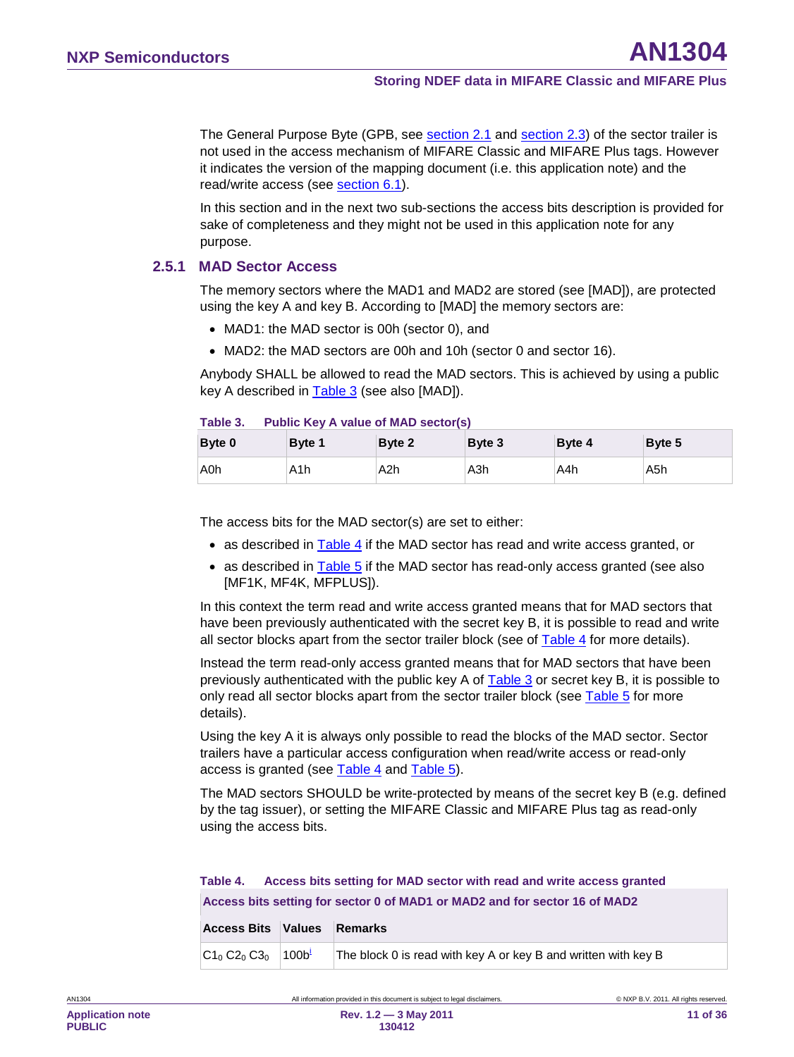The General Purpose Byte (GPB, see section [2.1](#page-5-1) and section 2.3) of the sector trailer is not used in the access mechanism of MIFARE Classic and MIFARE Plus tags. However it indicates the version of the mapping document (i.e. this application note) and the read/write access (see <u>section [6.1](#page-17-0)</u>).

In this section and in the next two sub-sections the access bits description is provided for sake of completeness and they might not be used in this application note for any purpose.

#### **2.5.1 MAD Sector Access**

<span id="page-10-2"></span>The memory sectors where the MAD1 and MAD2 are stored (see [MAD]), are protected using the key A and key B. According to [MAD] the memory sectors are:

- MAD1: the MAD sector is 00h (sector 0), and
- MAD2: the MAD sectors are 00h and 10h (sector 0 and sector 16).

Anybody SHALL be allowed to read the MAD sectors. This is achieved by using a public key A described in [Table 3](#page-10-0) (see also [MAD]).

#### <span id="page-10-0"></span>**Table 3. Public Key A value of MAD sector(s)**

| Byte 0 | Byte 1           | Byte 2 | Byte 3 | Byte 4 | Byte 5 |
|--------|------------------|--------|--------|--------|--------|
| A0h    | A <sub>1</sub> h | A2h    | A3h    | A4h    | A5h    |

The access bits for the MAD sector(s) are set to either:

- as described in [Table 4](#page-10-1) if the MAD sector has read and write access granted, or
- as described in [Table 5](#page-11-0) if the MAD sector has read-only access granted (see also [MF1K, MF4K, MFPLUS]).

In this context the term read and write access granted means that for MAD sectors that have been previously authenticated with the secret key B, it is possible to read and write all sector blocks apart from the sector trailer block (see of  $\overline{\text{Table 4}}$  for more details).

Instead the term read-only access granted means that for MAD sectors that have been previously authenticated with the public key A of [Table 3](#page-10-0) or secret key B, it is possible to only read all sector blocks apart from the sector trailer block (see [Table 5](#page-11-0) for more details).

Using the key A it is always only possible to read the blocks of the MAD sector. Sector trailers have a particular access configuration when read/write access or read-only access is granted (see [Table 4](#page-10-1) and [Table 5\)](#page-11-0).

The MAD sectors SHOULD be write-protected by means of the secret key B (e.g. defined by the tag issuer), or setting the MIFARE Classic and MIFARE Plus tag as read-only using the access bits.

#### <span id="page-10-1"></span>**Table 4. Access bits setting for MAD sector with read and write access granted Access bits setting for sector 0 of MAD1 or MAD2 and for sector 16 of MAD2**

| <b>Access Bits Values Remarks</b> |                                                                |
|-----------------------------------|----------------------------------------------------------------|
| $C1_0 C2_0 C3_0$ 100b             | The block 0 is read with key A or key B and written with key B |

**11 of 36**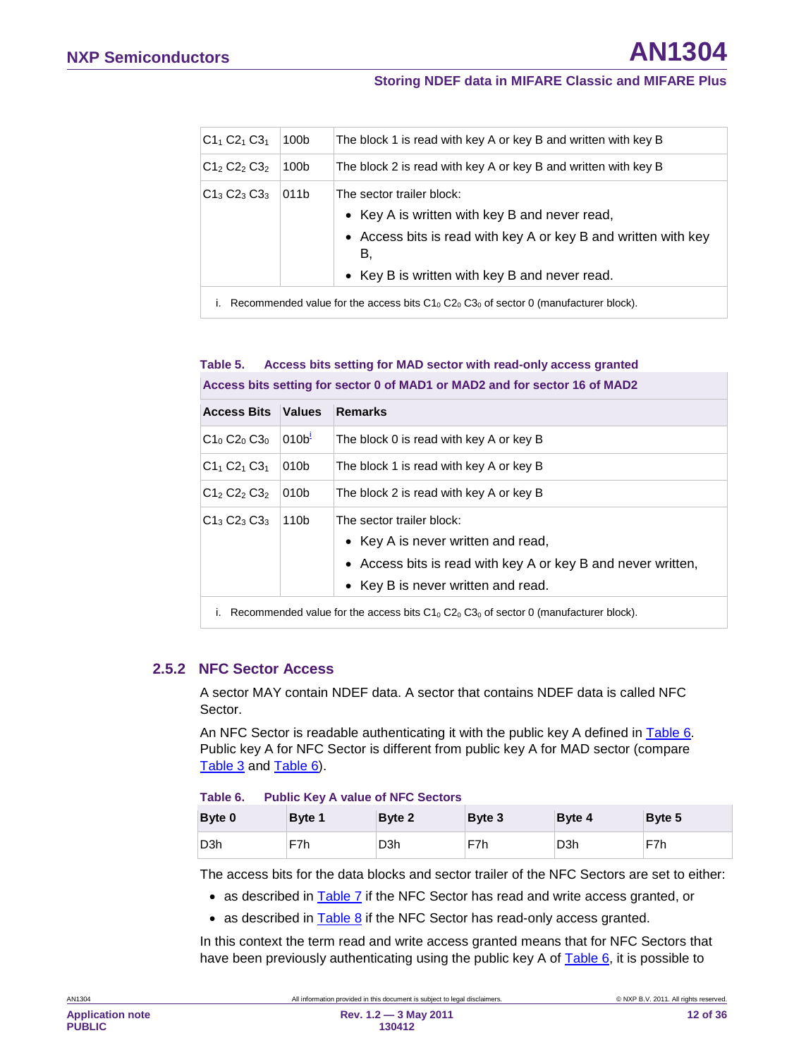| $C1_1 C2_1 C3_1$                                                                         | 100b | The block 1 is read with key A or key B and written with key B                                                                                                                                      |  |  |  |  |  |
|------------------------------------------------------------------------------------------|------|-----------------------------------------------------------------------------------------------------------------------------------------------------------------------------------------------------|--|--|--|--|--|
| $C12 C22 C32$                                                                            | 100b | The block 2 is read with key A or key B and written with key B                                                                                                                                      |  |  |  |  |  |
| $C1_3C2_3C3_3$                                                                           | 011b | The sector trailer block:<br>• Key A is written with key B and never read,<br>• Access bits is read with key A or key B and written with key<br>В,<br>• Key B is written with key B and never read. |  |  |  |  |  |
| Recommended value for the access bits $C1_0 C2_0 C3_0$ of sector 0 (manufacturer block). |      |                                                                                                                                                                                                     |  |  |  |  |  |

#### <span id="page-11-1"></span><span id="page-11-0"></span>**Table 5. Access bits setting for MAD sector with read-only access granted Access bits setting for sector 0 of MAD1 or MAD2 and for sector 16 of MAD2**

| <b>Access Bits</b> | <b>Values</b>    | <b>Remarks</b>                                                                                                                                                        |
|--------------------|------------------|-----------------------------------------------------------------------------------------------------------------------------------------------------------------------|
| $C1_0 C2_0 C3_0$   | 010 <sup>1</sup> | The block 0 is read with key A or key B                                                                                                                               |
| $C1_1 C2_1 C3_1$   | 010b             | The block 1 is read with key A or key B                                                                                                                               |
| $C1_2 C2_2 C3_2$   | 010b             | The block 2 is read with key A or key B                                                                                                                               |
| $C1_3 C2_3 C3_3$   | 110b             | The sector trailer block:<br>• Key A is never written and read,<br>• Access bits is read with key A or key B and never written,<br>• Key B is never written and read. |
|                    |                  | December 1. Julie Le Leuke and a the OL OO OO of a star OL Leader to start that A                                                                                     |

<span id="page-11-2"></span>i. Recommended value for the access bits  $C1_0 C2_0 C3_0$  of sector 0 (manufacturer block).

#### **2.5.2 NFC Sector Access**

<span id="page-11-4"></span>A sector MAY contain NDEF data. A sector that contains NDEF data is called NFC Sector.

An NFC Sector is readable authenticating it with the public key A defined in [Table 6.](#page-11-3) Public key A for NFC Sector is different from public key A for MAD sector (compare [Table 3](#page-10-0) and [Table 6\)](#page-11-3).

#### <span id="page-11-3"></span>**Table 6. Public Key A value of NFC Sectors**

| Byte 0 | <b>Byte 1</b> | Byte 2           | Byte 3 | <b>Byte 4</b>    | Byte 5 |
|--------|---------------|------------------|--------|------------------|--------|
| D3h    | F7h           | D <sub>3</sub> h | F7h    | D <sub>3</sub> h | F7h    |

The access bits for the data blocks and sector trailer of the NFC Sectors are set to either:

• as described in **Table 7** if the NFC Sector has read and write access granted, or

• as described in [Table 8](#page-12-1) if the NFC Sector has read-only access granted.

In this context the term read and write access granted means that for NFC Sectors that have been previously authenticating using the public key A of **Table 6**, it is possible to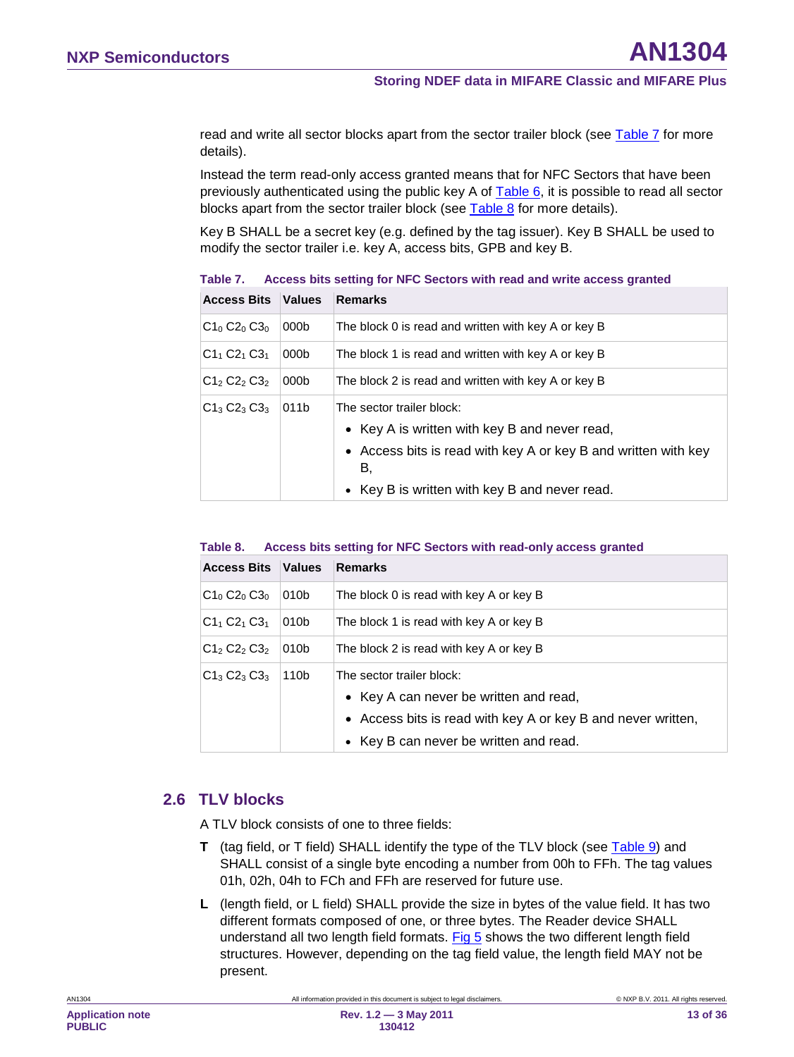read and write all sector blocks apart from the sector trailer block (see [Table 7](#page-12-0) for more details).

Instead the term read-only access granted means that for NFC Sectors that have been previously authenticated using the public key A of [Table 6,](#page-11-3) it is possible to read all sector blocks apart from the sector trailer block (see [Table 8](#page-12-1) for more details).

Key B SHALL be a secret key (e.g. defined by the tag issuer). Key B SHALL be used to modify the sector trailer i.e. key A, access bits, GPB and key B.

| <b>Access Bits Values</b> |                  | <b>Remarks</b>                                                                                                                                                                                                 |
|---------------------------|------------------|----------------------------------------------------------------------------------------------------------------------------------------------------------------------------------------------------------------|
| $C1_0$ $C2_0$ $C3_0$      | 000 <sub>b</sub> | The block 0 is read and written with key A or key B                                                                                                                                                            |
| $C1_1 C2_1 C3_1$          | 000b             | The block 1 is read and written with key A or key B                                                                                                                                                            |
| $C12 C22 C32$             | 000 <sub>b</sub> | The block 2 is read and written with key A or key B                                                                                                                                                            |
| $C1_3 C2_3 C3_3$          | 011b             | The sector trailer block:<br>• Key A is written with key B and never read,<br>• Access bits is read with key A or key B and written with key<br>В.<br>Key B is written with key B and never read.<br>$\bullet$ |

<span id="page-12-0"></span>**Table 7. Access bits setting for NFC Sectors with read and write access granted**

#### <span id="page-12-1"></span>**Table 8. Access bits setting for NFC Sectors with read-only access granted**

| <b>Access Bits Values</b> |      | Remarks                                                                                                                                                                       |
|---------------------------|------|-------------------------------------------------------------------------------------------------------------------------------------------------------------------------------|
| $C1_0 C2_0 C3_0$          | 010b | The block 0 is read with key A or key B                                                                                                                                       |
| $C1_1 C2_1 C3_1$          | 010b | The block 1 is read with key A or key B                                                                                                                                       |
| $C12 C22 C32$             | 010b | The block 2 is read with key A or key B                                                                                                                                       |
| $C1_3 C2_3 C3_3$          | 110b | The sector trailer block:<br>• Key A can never be written and read,<br>• Access bits is read with key A or key B and never written,<br>• Key B can never be written and read. |

#### <span id="page-12-2"></span>**2.6 TLV blocks**

A TLV block consists of one to three fields:

- **T** (tag field, or T field) SHALL identify the type of the TLV block (see [Table 9\)](#page-13-0) and SHALL consist of a single byte encoding a number from 00h to FFh. The tag values 01h, 02h, 04h to FCh and FFh are reserved for future use.
- **L** (length field, or L field) SHALL provide the size in bytes of the value field. It has two different formats composed of one, or three bytes. The Reader device SHALL understand all two length field formats. [Fig 5](#page-13-1) shows the two different length field structures. However, depending on the tag field value, the length field MAY not be present.

AN1304 **All information provided in this document is subject to legal disclaimers.** © NXP B.V. 2011. All rights reserved.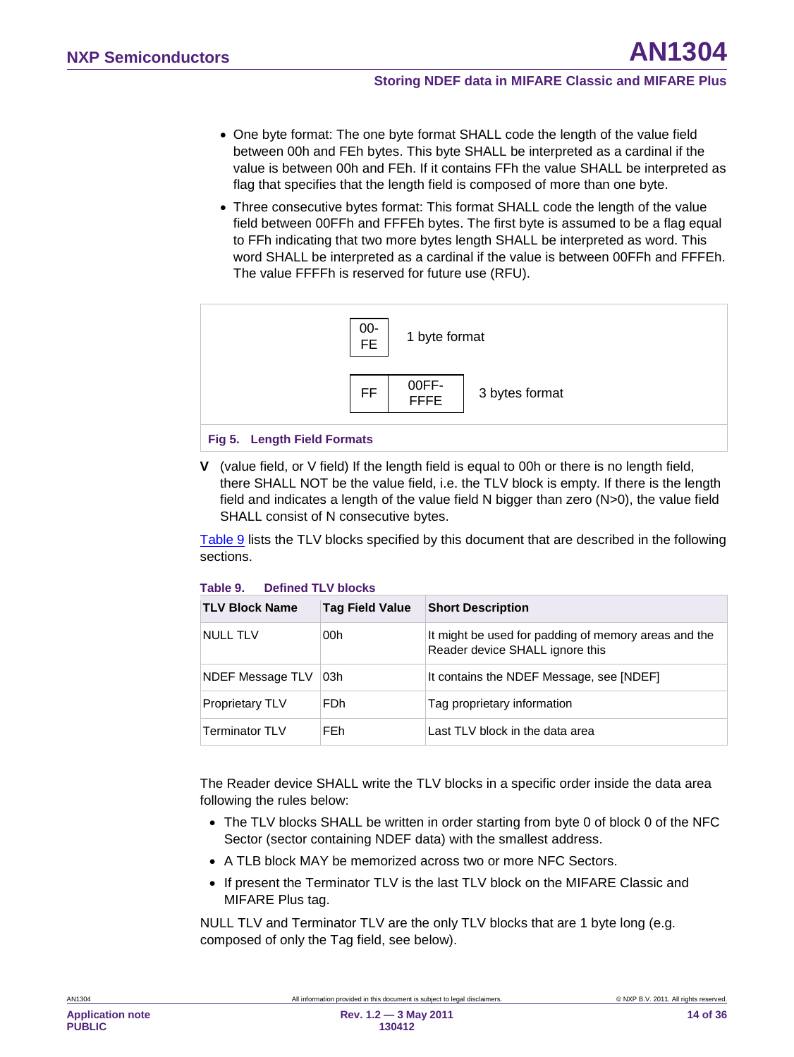- One byte format: The one byte format SHALL code the length of the value field between 00h and FEh bytes. This byte SHALL be interpreted as a cardinal if the value is between 00h and FEh. If it contains FFh the value SHALL be interpreted as flag that specifies that the length field is composed of more than one byte.
- Three consecutive bytes format: This format SHALL code the length of the value field between 00FFh and FFFEh bytes. The first byte is assumed to be a flag equal to FFh indicating that two more bytes length SHALL be interpreted as word. This word SHALL be interpreted as a cardinal if the value is between 00FFh and FFFEh. The value FFFFh is reserved for future use (RFU).



<span id="page-13-1"></span>**V** (value field, or V field) If the length field is equal to 00h or there is no length field, there SHALL NOT be the value field, i.e. the TLV block is empty. If there is the length field and indicates a length of the value field N bigger than zero (N>0), the value field SHALL consist of N consecutive bytes.

[Table 9](#page-13-0) lists the TLV blocks specified by this document that are described in the following sections.

#### <span id="page-13-0"></span>**Table 9. Defined TLV blocks**

| <b>TLV Block Name</b>  | <b>Tag Field Value</b> | <b>Short Description</b>                                                                |
|------------------------|------------------------|-----------------------------------------------------------------------------------------|
| <b>NULL TLV</b>        | 00h                    | It might be used for padding of memory areas and the<br>Reader device SHALL ignore this |
| NDEF Message TLV       | ⊺03h                   | It contains the NDEF Message, see [NDEF]                                                |
| <b>Proprietary TLV</b> | F <sub>Dh</sub>        | Tag proprietary information                                                             |
| Terminator TLV         | FF <sub>h</sub>        | Last TLV block in the data area                                                         |

The Reader device SHALL write the TLV blocks in a specific order inside the data area following the rules below:

- The TLV blocks SHALL be written in order starting from byte 0 of block 0 of the NFC Sector (sector containing NDEF data) with the smallest address.
- A TLB block MAY be memorized across two or more NFC Sectors.
- If present the Terminator TLV is the last TLV block on the MIFARE Classic and MIFARE Plus tag.

NULL TLV and Terminator TLV are the only TLV blocks that are 1 byte long (e.g. composed of only the Tag field, see below).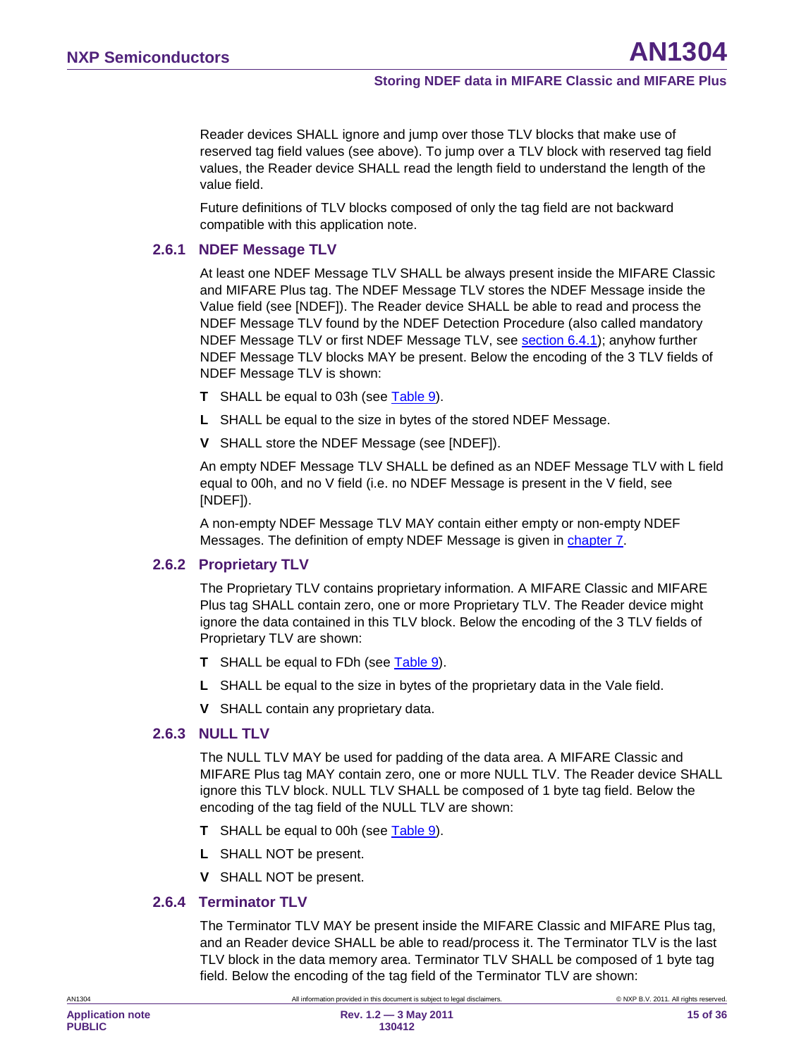Reader devices SHALL ignore and jump over those TLV blocks that make use of reserved tag field values (see above). To jump over a TLV block with reserved tag field values, the Reader device SHALL read the length field to understand the length of the value field.

Future definitions of TLV blocks composed of only the tag field are not backward compatible with this application note.

#### **2.6.1 NDEF Message TLV**

<span id="page-14-0"></span>At least one NDEF Message TLV SHALL be always present inside the MIFARE Classic and MIFARE Plus tag. The NDEF Message TLV stores the NDEF Message inside the Value field (see [NDEF]). The Reader device SHALL be able to read and process the NDEF Message TLV found by the NDEF Detection Procedure (also called mandatory NDEF Message TLV or first NDEF Message TLV, see <u>section [6.4.1](#page-20-0)</u>); anyhow further NDEF Message TLV blocks MAY be present. Below the encoding of the 3 TLV fields of NDEF Message TLV is shown:

- **T** SHALL be equal to 03h (see [Table 9\)](#page-13-0).
- **L** SHALL be equal to the size in bytes of the stored NDEF Message.
- **V** SHALL store the NDEF Message (see [NDEF]).

An empty NDEF Message TLV SHALL be defined as an NDEF Message TLV with L field equal to 00h, and no V field (i.e. no NDEF Message is present in the V field, see [NDEF]).

A non-empty NDEF Message TLV MAY contain either empty or non-empty NDEF Messages. The definition of empty NDEF Message is given in <u>chapter [7](#page-27-0)</u>.

#### **2.6.2 Proprietary TLV**

<span id="page-14-1"></span>The Proprietary TLV contains proprietary information. A MIFARE Classic and MIFARE Plus tag SHALL contain zero, one or more Proprietary TLV. The Reader device might ignore the data contained in this TLV block. Below the encoding of the 3 TLV fields of Proprietary TLV are shown:

- **T** SHALL be equal to FDh (see [Table 9\)](#page-13-0).
- **L** SHALL be equal to the size in bytes of the proprietary data in the Vale field.
- <span id="page-14-2"></span>**V** SHALL contain any proprietary data.

#### **2.6.3 NULL TLV**

The NULL TLV MAY be used for padding of the data area. A MIFARE Classic and MIFARE Plus tag MAY contain zero, one or more NULL TLV. The Reader device SHALL ignore this TLV block. NULL TLV SHALL be composed of 1 byte tag field. Below the encoding of the tag field of the NULL TLV are shown:

- **T** SHALL be equal to 00h (see [Table 9\)](#page-13-0).
- **L** SHALL NOT be present.
- <span id="page-14-3"></span>**V** SHALL NOT be present.

#### **2.6.4 Terminator TLV**

The Terminator TLV MAY be present inside the MIFARE Classic and MIFARE Plus tag, and an Reader device SHALL be able to read/process it. The Terminator TLV is the last TLV block in the data memory area. Terminator TLV SHALL be composed of 1 byte tag field. Below the encoding of the tag field of the Terminator TLV are shown: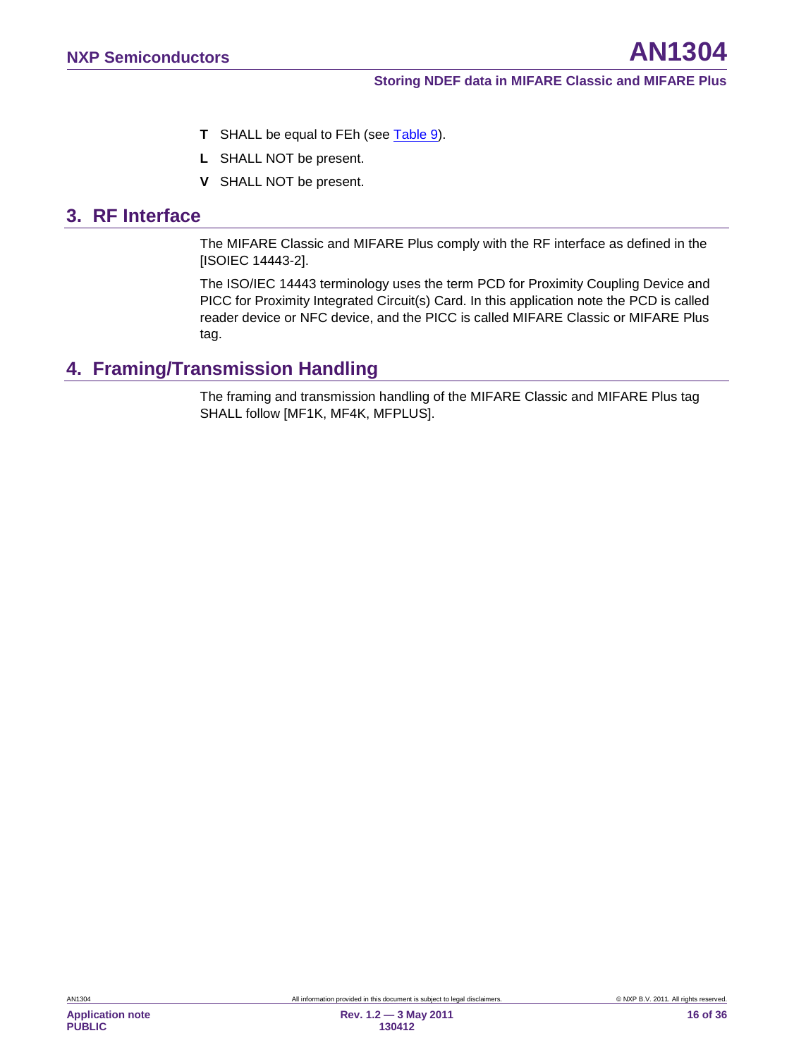- **T** SHALL be equal to FEh (see [Table 9\)](#page-13-0).
- **L** SHALL NOT be present.
- **V** SHALL NOT be present.

## <span id="page-15-0"></span>**3. RF Interface**

The MIFARE Classic and MIFARE Plus comply with the RF interface as defined in the [ISOIEC 14443-2].

The ISO/IEC 14443 terminology uses the term PCD for Proximity Coupling Device and PICC for Proximity Integrated Circuit(s) Card. In this application note the PCD is called reader device or NFC device, and the PICC is called MIFARE Classic or MIFARE Plus tag.

## <span id="page-15-1"></span>**4. Framing/Transmission Handling**

The framing and transmission handling of the MIFARE Classic and MIFARE Plus tag SHALL follow [MF1K, MF4K, MFPLUS].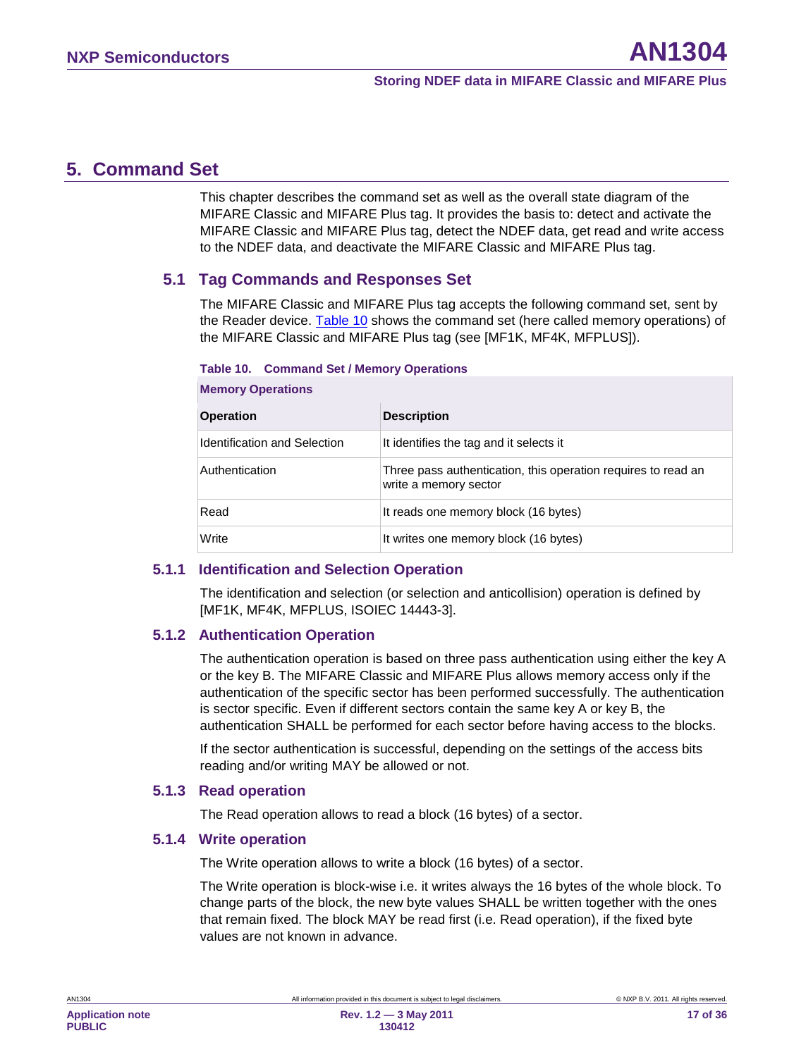## <span id="page-16-4"></span>**5. Command Set**

This chapter describes the command set as well as the overall state diagram of the MIFARE Classic and MIFARE Plus tag. It provides the basis to: detect and activate the MIFARE Classic and MIFARE Plus tag, detect the NDEF data, get read and write access to the NDEF data, and deactivate the MIFARE Classic and MIFARE Plus tag.

#### <span id="page-16-5"></span>**5.1 Tag Commands and Responses Set**

The MIFARE Classic and MIFARE Plus tag accepts the following command set, sent by the Reader device. [Table 10](#page-16-0) shows the command set (here called memory operations) of the MIFARE Classic and MIFARE Plus tag (see [MF1K, MF4K, MFPLUS]).

#### <span id="page-16-0"></span>**Table 10. Command Set / Memory Operations**

| <b>Operation</b>             | <b>Description</b>                                                                     |
|------------------------------|----------------------------------------------------------------------------------------|
| Identification and Selection | It identifies the tag and it selects it                                                |
| Authentication               | Three pass authentication, this operation requires to read an<br>write a memory sector |
| Read                         | It reads one memory block (16 bytes)                                                   |
| Write                        | It writes one memory block (16 bytes)                                                  |

#### **Memory Operations**

#### **5.1.1 Identification and Selection Operation**

<span id="page-16-6"></span>The identification and selection (or selection and anticollision) operation is defined by [MF1K, MF4K, MFPLUS, ISOIEC 14443-3].

#### **5.1.2 Authentication Operation**

<span id="page-16-1"></span>The authentication operation is based on three pass authentication using either the key A or the key B. The MIFARE Classic and MIFARE Plus allows memory access only if the authentication of the specific sector has been performed successfully. The authentication is sector specific. Even if different sectors contain the same key A or key B, the authentication SHALL be performed for each sector before having access to the blocks.

If the sector authentication is successful, depending on the settings of the access bits reading and/or writing MAY be allowed or not.

#### **5.1.3 Read operation**

<span id="page-16-3"></span><span id="page-16-2"></span>The Read operation allows to read a block (16 bytes) of a sector.

#### **5.1.4 Write operation**

The Write operation allows to write a block (16 bytes) of a sector.

The Write operation is block-wise i.e. it writes always the 16 bytes of the whole block. To change parts of the block, the new byte values SHALL be written together with the ones that remain fixed. The block MAY be read first (i.e. Read operation), if the fixed byte values are not known in advance.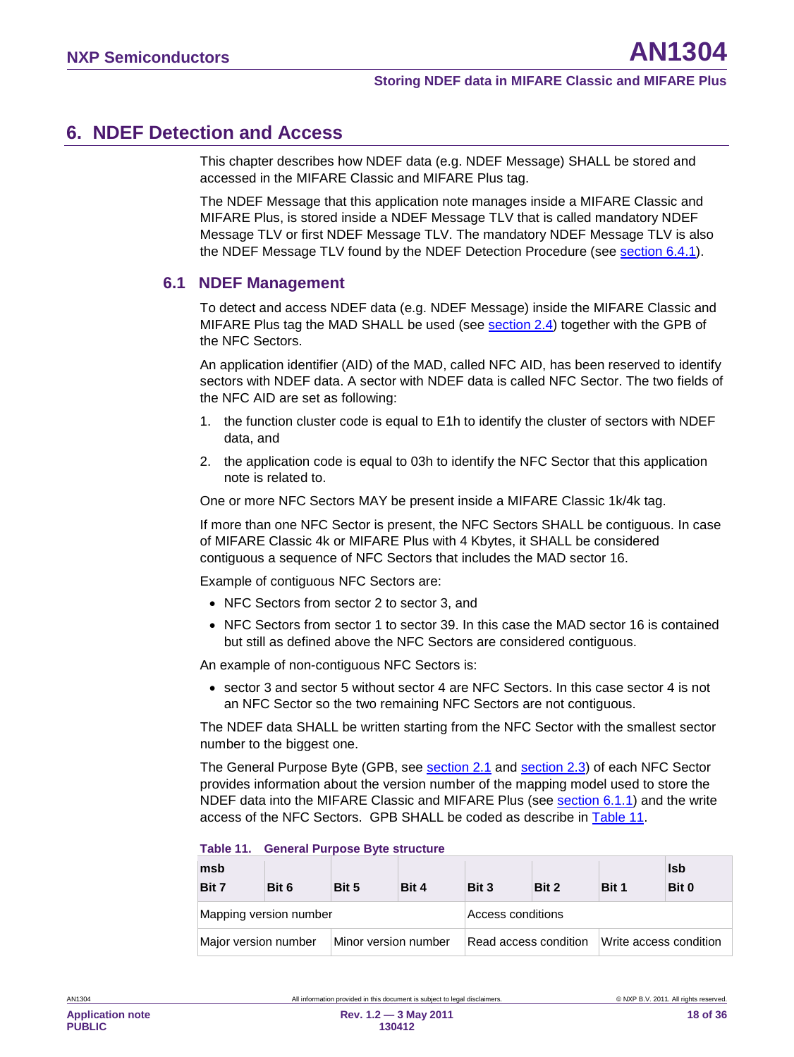## <span id="page-17-2"></span>**6. NDEF Detection and Access**

This chapter describes how NDEF data (e.g. NDEF Message) SHALL be stored and accessed in the MIFARE Classic and MIFARE Plus tag.

The NDEF Message that this application note manages inside a MIFARE Classic and MIFARE Plus, is stored inside a NDEF Message TLV that is called mandatory NDEF Message TLV or first NDEF Message TLV. The mandatory NDEF Message TLV is also the NDEF Message TLV found by the NDEF Detection Procedure (see <u>section [6.4.1](#page-20-0)</u>).

#### <span id="page-17-0"></span>**6.1 NDEF Management**

To detect and access NDEF data (e.g. NDEF Message) inside the MIFARE Classic and MIFARE Plus tag the MAD SHALL be used (see <u>section [2.4](#page-8-1)</u>) together with the GPB of the NFC Sectors.

An application identifier (AID) of the MAD, called NFC AID, has been reserved to identify sectors with NDEF data. A sector with NDEF data is called NFC Sector. The two fields of the NFC AID are set as following:

- 1. the function cluster code is equal to E1h to identify the cluster of sectors with NDEF data, and
- 2. the application code is equal to 03h to identify the NFC Sector that this application note is related to.

One or more NFC Sectors MAY be present inside a MIFARE Classic 1k/4k tag.

If more than one NFC Sector is present, the NFC Sectors SHALL be contiguous. In case of MIFARE Classic 4k or MIFARE Plus with 4 Kbytes, it SHALL be considered contiguous a sequence of NFC Sectors that includes the MAD sector 16.

Example of contiguous NFC Sectors are:

- NFC Sectors from sector 2 to sector 3, and
- NFC Sectors from sector 1 to sector 39. In this case the MAD sector 16 is contained but still as defined above the NFC Sectors are considered contiguous.

An example of non-contiguous NFC Sectors is:

• sector 3 and sector 5 without sector 4 are NFC Sectors. In this case sector 4 is not an NFC Sector so the two remaining NFC Sectors are not contiguous.

The NDEF data SHALL be written starting from the NFC Sector with the smallest sector number to the biggest one.

The General Purpose Byte (GPB, see section [2.1](#page-5-1) and section 2.3) of each NFC Sector provides information about the version number of the mapping model used to store the NDEF data into the MIFARE Classic and MIFARE Plus (see section [6.1.1\)](#page-18-0) and the write access of the NFC Sectors. GPB SHALL be coded as describe in [Table 11.](#page-17-1)

| msb<br>Bit 7         | Bit 6                  | Bit 5                | Bit 4 | Bit 3                 | Bit 2 | Bit 1                  | <b>Isb</b><br>Bit 0 |
|----------------------|------------------------|----------------------|-------|-----------------------|-------|------------------------|---------------------|
|                      | Mapping version number |                      |       | Access conditions     |       |                        |                     |
| Major version number |                        | Minor version number |       | Read access condition |       | Write access condition |                     |

#### <span id="page-17-1"></span>**Table 11. General Purpose Byte structure**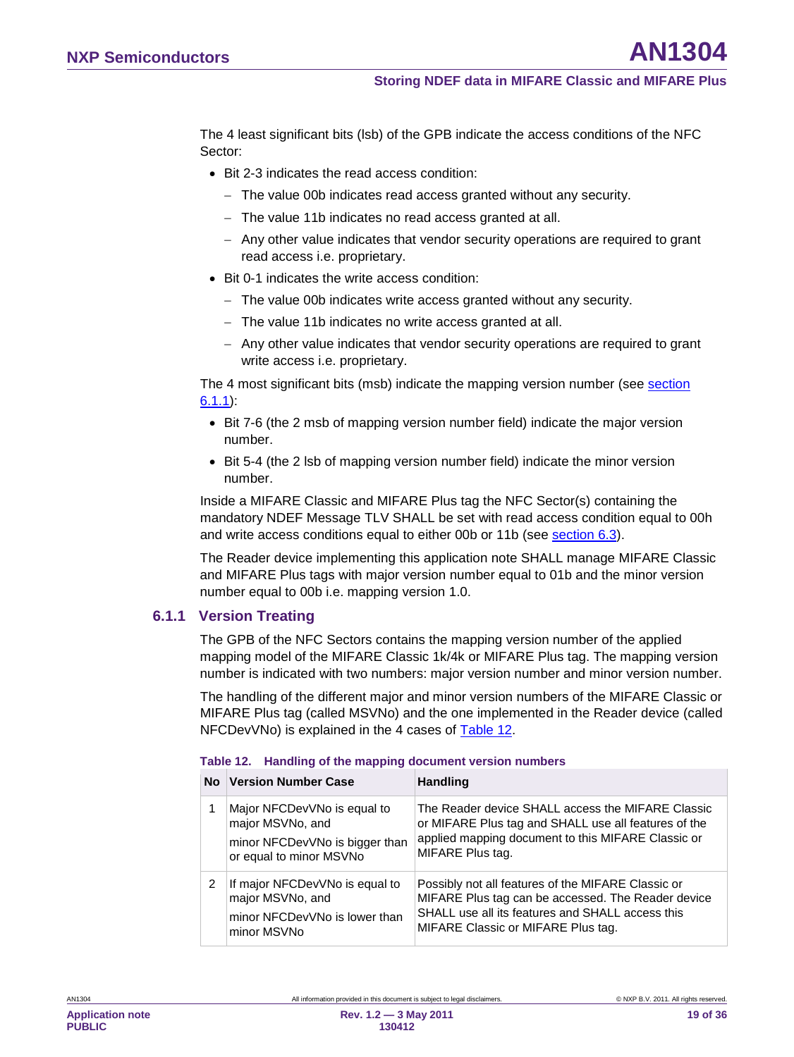The 4 least significant bits (lsb) of the GPB indicate the access conditions of the NFC Sector:

- Bit 2-3 indicates the read access condition:
	- − The value 00b indicates read access granted without any security.
	- − The value 11b indicates no read access granted at all.
	- − Any other value indicates that vendor security operations are required to grant read access i.e. proprietary.
- Bit 0-1 indicates the write access condition:
	- − The value 00b indicates write access granted without any security.
	- − The value 11b indicates no write access granted at all.
	- − Any other value indicates that vendor security operations are required to grant write access i.e. proprietary.

The 4 most significant bits (msb) indicate the mapping version number (see section [6.1.1](#page-18-0) ):

- Bit 7-6 (the 2 msb of mapping version number field) indicate the major version number.
- Bit 5-4 (the 2 lsb of mapping version number field) indicate the minor version number.

Inside a MIFARE Classic and MIFARE Plus tag the NFC Sector(s) containing the mandatory NDEF Message TLV SHALL be set with read access condition equal to 00h and write access conditions equal to either 00b or 11b (see <u>section [6.3](#page-19-0)</u>).

The Reader device implementing this application note SHALL manage MIFARE Classic and MIFARE Plus tags with major version number equal to 01b and the minor version number equal to 00b i.e. mapping version 1.0.

#### **6.1.1 Version Treating**

<span id="page-18-0"></span>The GPB of the NFC Sectors contains the mapping version number of the applied mapping model of the MIFARE Classic 1k/4k or MIFARE Plus tag. The mapping version number is indicated with two numbers: major version number and minor version number.

The handling of the different major and minor version numbers of the MIFARE Classic or MIFARE Plus tag (called MSVNo) and the one implemented in the Reader device (called NFCDevVNo) is explained in the 4 cases of [Table 12.](#page-18-1)

|   | No Version Number Case                                                                                       | <b>Handling</b>                                                                                                                                                                                    |
|---|--------------------------------------------------------------------------------------------------------------|----------------------------------------------------------------------------------------------------------------------------------------------------------------------------------------------------|
|   | Major NFCDevVNo is equal to<br>major MSVNo, and<br>minor NFCDevVNo is bigger than<br>or equal to minor MSVNo | The Reader device SHALL access the MIFARE Classic<br>or MIFARE Plus tag and SHALL use all features of the<br>applied mapping document to this MIFARE Classic or<br>MIFARE Plus tag.                |
| 2 | If major NFCDevVNo is equal to<br>major MSVNo, and<br>minor NFCDevVNo is lower than<br>minor MSVNo           | Possibly not all features of the MIFARE Classic or<br>MIFARE Plus tag can be accessed. The Reader device<br>SHALL use all its features and SHALL access this<br>MIFARE Classic or MIFARE Plus tag. |

#### <span id="page-18-1"></span>**Table 12. Handling of the mapping document version numbers**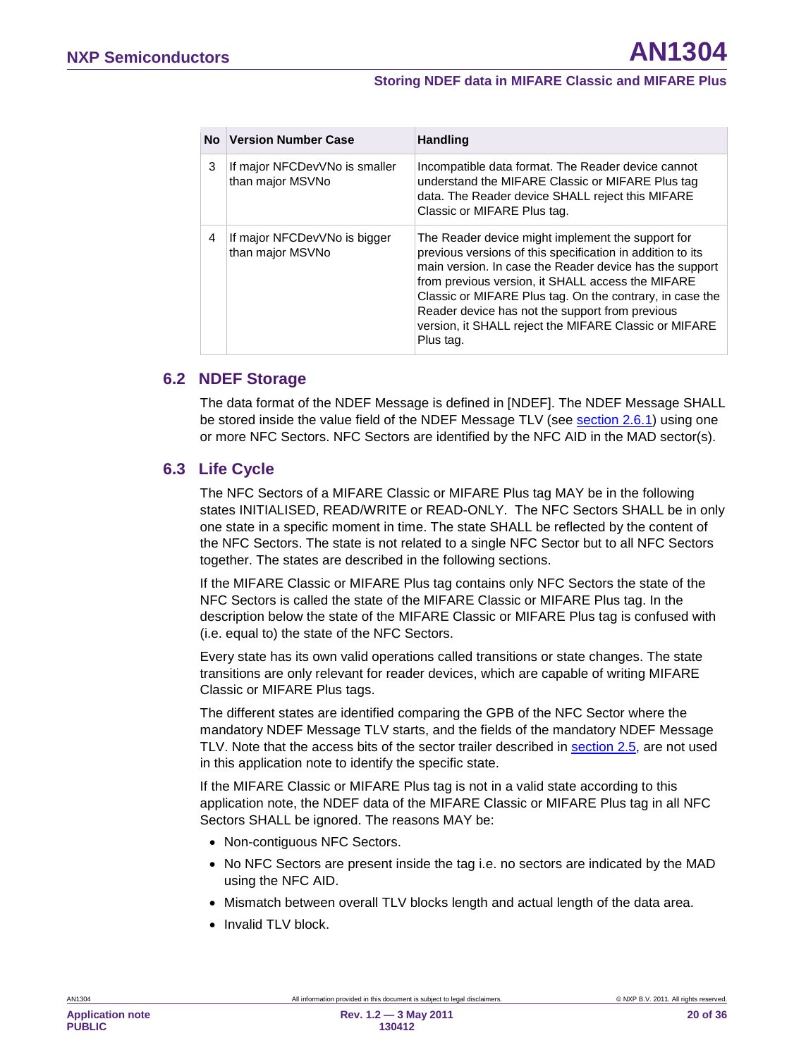| No. | <b>Version Number Case</b>                        | <b>Handling</b>                                                                                                                                                                                                                                                                                                                                                                                                      |
|-----|---------------------------------------------------|----------------------------------------------------------------------------------------------------------------------------------------------------------------------------------------------------------------------------------------------------------------------------------------------------------------------------------------------------------------------------------------------------------------------|
| 3   | If major NFCDevVNo is smaller<br>than major MSVNo | Incompatible data format. The Reader device cannot<br>understand the MIFARE Classic or MIFARE Plus tag<br>data. The Reader device SHALL reject this MIFARE<br>Classic or MIFARE Plus tag.                                                                                                                                                                                                                            |
| 4   | If major NFCDevVNo is bigger<br>than major MSVNo  | The Reader device might implement the support for<br>previous versions of this specification in addition to its<br>main version. In case the Reader device has the support<br>from previous version, it SHALL access the MIFARE<br>Classic or MIFARE Plus tag. On the contrary, in case the<br>Reader device has not the support from previous<br>version, it SHALL reject the MIFARE Classic or MIFARE<br>Plus tag. |

#### <span id="page-19-1"></span>**6.2 NDEF Storage**

The data format of the NDEF Message is defined in [NDEF]. The NDEF Message SHALL be stored inside the value field of the NDEF Message TLV (see <u>section [2.6.1](#page-14-0)</u>) using one or more NFC Sectors. NFC Sectors are identified by the NFC AID in the MAD sector(s).

#### <span id="page-19-0"></span>**6.3 Life Cycle**

The NFC Sectors of a MIFARE Classic or MIFARE Plus tag MAY be in the following states INITIALISED, READ/WRITE or READ-ONLY. The NFC Sectors SHALL be in only one state in a specific moment in time. The state SHALL be reflected by the content of the NFC Sectors. The state is not related to a single NFC Sector but to all NFC Sectors together. The states are described in the following sections.

If the MIFARE Classic or MIFARE Plus tag contains only NFC Sectors the state of the NFC Sectors is called the state of the MIFARE Classic or MIFARE Plus tag. In the description below the state of the MIFARE Classic or MIFARE Plus tag is confused with (i.e. equal to) the state of the NFC Sectors.

Every state has its own valid operations called transitions or state changes. The state transitions are only relevant for reader devices, which are capable of writing MIFARE Classic or MIFARE Plus tags.

The different states are identified comparing the GPB of the NFC Sector where the mandatory NDEF Message TLV starts, and the fields of the mandatory NDEF Message TLV. Note that the access bits of the sector trailer described in <u>section [2.5](#page-9-1)</u>, are not used in this application note to identify the specific state.

If the MIFARE Classic or MIFARE Plus tag is not in a valid state according to this application note, the NDEF data of the MIFARE Classic or MIFARE Plus tag in all NFC Sectors SHALL be ignored. The reasons MAY be:

- Non-contiguous NFC Sectors.
- No NFC Sectors are present inside the tag i.e. no sectors are indicated by the MAD using the NFC AID.
- Mismatch between overall TLV blocks length and actual length of the data area.
- Invalid TLV block.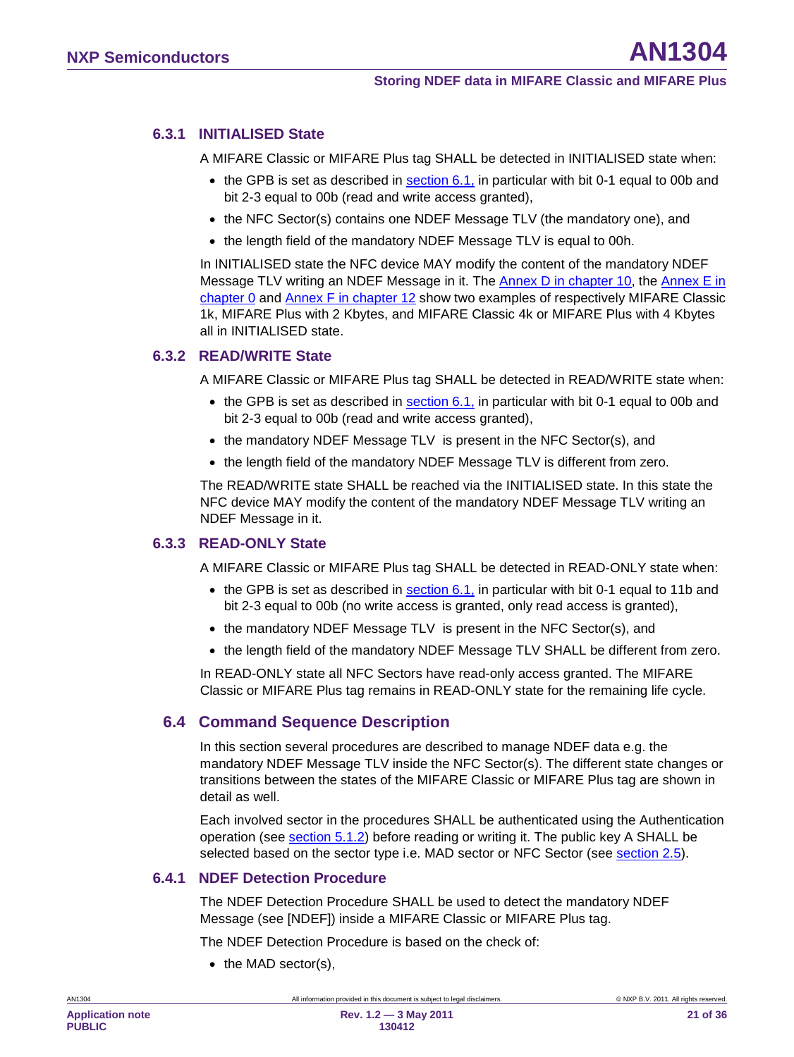#### **6.3.1 INITIALISED State**

<span id="page-20-1"></span>A MIFARE Classic or MIFARE Plus tag SHALL be detected in INITIALISED state when:

- the GPB is set as described in  $\frac{\text{section } 6.1}{\text{Total}}$  in particular with bit 0-1 equal to 00b and bit 2-3 equal to 00b (read and write access granted),
- the NFC Sector(s) contains one NDEF Message TLV (the mandatory one), and
- the length field of the mandatory NDEF Message TLV is equal to 00h.

In INITIALISED state the NFC device MAY modify the content of the mandatory NDEF Message TLV writing an NDEF Message in it. The <u>Annex D in chapter [10,](#page-29-0)</u> the <u>Annex E in</u> <u>chapter0</u> and <u>Annex F in chapter [12](#page-32-0)</u> show two examples of respectively MIFARE Classic 1k, MIFARE Plus with 2 Kbytes, and MIFARE Classic 4k or MIFARE Plus with 4 Kbytes all in INITIALISED state.

#### **6.3.2 READ/WRITE State**

<span id="page-20-2"></span>A MIFARE Classic or MIFARE Plus tag SHALL be detected in READ/WRITE state when:

- the GPB is set as described in  $\frac{\text{section } 6.1}{\text{Total}}$  in particular with bit 0-1 equal to 00b and bit 2-3 equal to 00b (read and write access granted),
- the mandatory NDEF Message TLV is present in the NFC Sector(s), and
- the length field of the mandatory NDEF Message TLV is different from zero.

The READ/WRITE state SHALL be reached via the INITIALISED state. In this state the NFC device MAY modify the content of the mandatory NDEF Message TLV writing an NDEF Message in it.

#### **6.3.3 READ-ONLY State**

<span id="page-20-3"></span>A MIFARE Classic or MIFARE Plus tag SHALL be detected in READ-ONLY state when:

- the GPB is set as described in  $\frac{\text{section } 6.1}{\text{Total}}$  in particular with bit 0-1 equal to 11b and bit 2-3 equal to 00b (no write access is granted, only read access is granted),
- the mandatory NDEF Message TLV is present in the NFC Sector(s), and
- the length field of the mandatory NDEF Message TLV SHALL be different from zero.

In READ-ONLY state all NFC Sectors have read-only access granted. The MIFARE Classic or MIFARE Plus tag remains in READ-ONLY state for the remaining life cycle.

#### <span id="page-20-4"></span>**6.4 Command Sequence Description**

In this section several procedures are described to manage NDEF data e.g. the mandatory NDEF Message TLV inside the NFC Sector(s). The different state changes or transitions between the states of the MIFARE Classic or MIFARE Plus tag are shown in detail as well.

Each involved sector in the procedures SHALL be authenticated using the Authentication operation (see section [5.1.2\)](#page-16-1) before reading or writing it. The public key A SHALL be selected based on the sector type i.e. MAD sector or NFC Sector (see <u>section [2.5](#page-9-1)</u>).

#### **6.4.1 NDEF Detection Procedure**

<span id="page-20-0"></span>The NDEF Detection Procedure SHALL be used to detect the mandatory NDEF Message (see [NDEF]) inside a MIFARE Classic or MIFARE Plus tag.

The NDEF Detection Procedure is based on the check of:

• the MAD sector(s),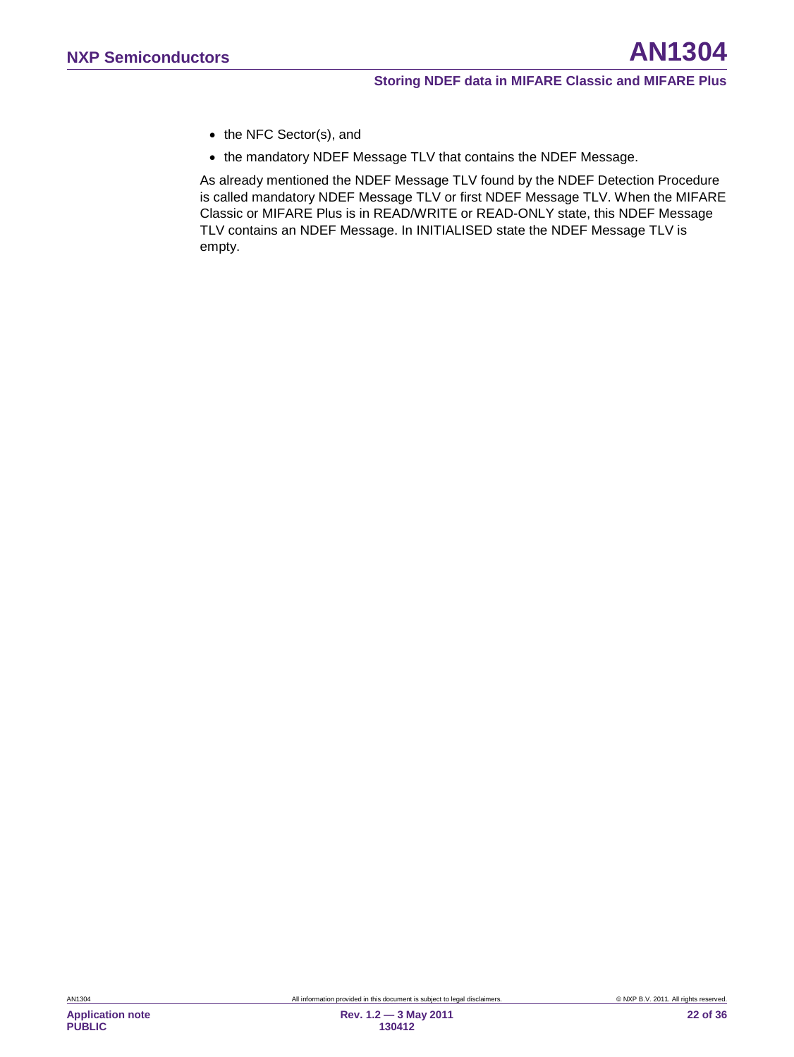- the NFC Sector(s), and
- the mandatory NDEF Message TLV that contains the NDEF Message.

As already mentioned the NDEF Message TLV found by the NDEF Detection Procedure is called mandatory NDEF Message TLV or first NDEF Message TLV. When the MIFARE Classic or MIFARE Plus is in READ/WRITE or READ-ONLY state, this NDEF Message TLV contains an NDEF Message. In INITIALISED state the NDEF Message TLV is empty.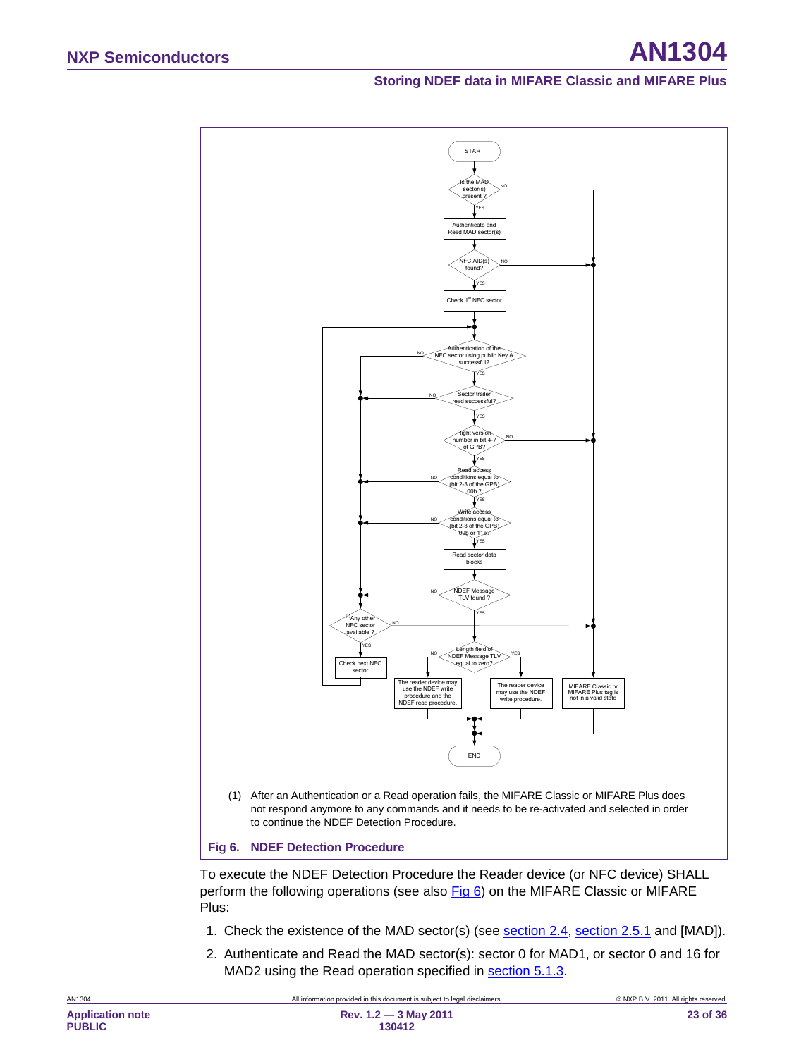

<span id="page-22-0"></span>To execute the NDEF Detection Procedure the Reader device (or NFC device) SHALL perform the following operations (see also [Fig 6\)](#page-22-0) on the MIFARE Classic or MIFARE Plus:

- 1. Check the existence of the MAD sector(s) (see <u>section [2.4,](#page-8-1) section [2.5.1](#page-10-2)</u> and [MAD]).
- 2. Authenticate and Read the MAD sector(s): sector 0 for MAD1, or sector 0 and 16 for MAD2 using the Read operation specified in **section 5.1.3**.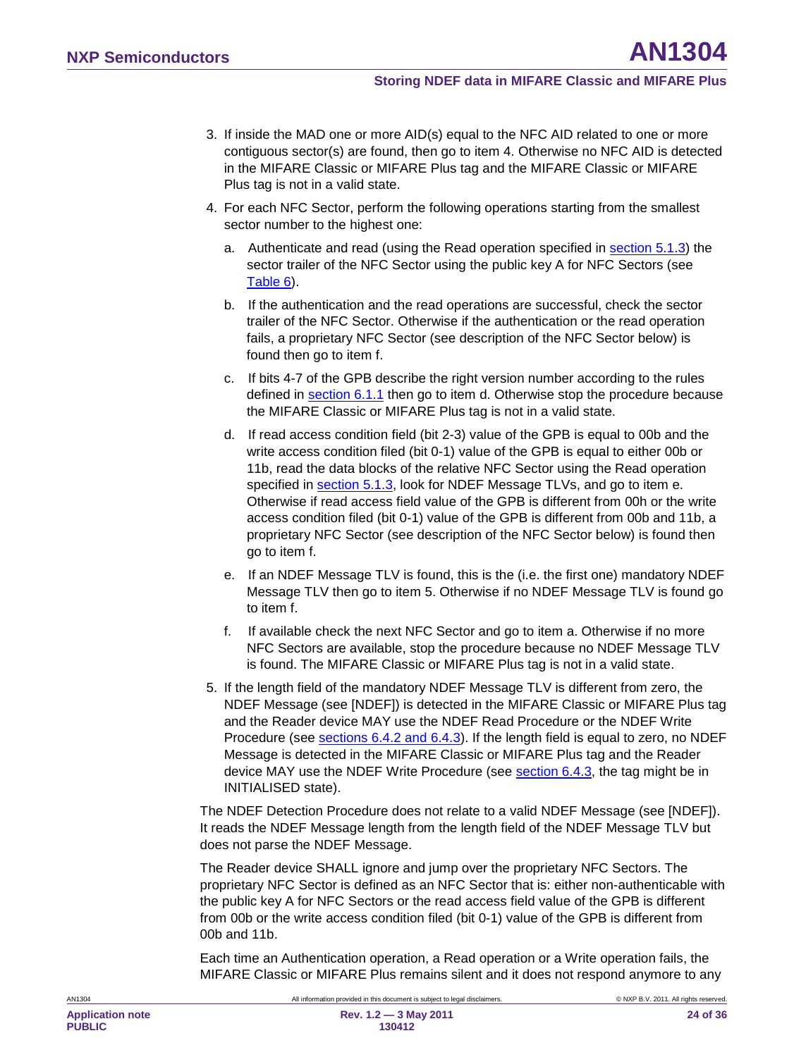- 3. If inside the MAD one or more AID(s) equal to the NFC AID related to one or more contiguous sector(s) are found, then go to item 4. Otherwise no NFC AID is detected in the MIFARE Classic or MIFARE Plus tag and the MIFARE Classic or MIFARE Plus tag is not in a valid state.
- 4. For each NFC Sector, perform the following operations starting from the smallest sector number to the highest one:
	- a. Authenticate and read (using the Read operation specified in section [5.1.3\)](#page-16-2) the sector trailer of the NFC Sector using the public key A for NFC Sectors (see [Table 6\)](#page-11-3).
	- b. If the authentication and the read operations are successful, check the sector trailer of the NFC Sector. Otherwise if the authentication or the read operation fails, a proprietary NFC Sector (see description of the NFC Sector below) is found then go to item f.
	- c. If bits 4-7 of the GPB describe the right version number according to the rules defined in <u>section [6.1.1](#page-18-0)</u> then go to item d. Otherwise stop the procedure because the MIFARE Classic or MIFARE Plus tag is not in a valid state.
	- d. If read access condition field (bit 2-3) value of the GPB is equal to 00b and the write access condition filed (bit 0-1) value of the GPB is equal to either 00b or 11b, read the data blocks of the relative NFC Sector using the Read operation specified in <u>section [5.1.3](#page-16-2)</u>, look for NDEF Message TLVs, and go to item e. Otherwise if read access field value of the GPB is different from 00h or the write access condition filed (bit 0-1) value of the GPB is different from 00b and 11b, a proprietary NFC Sector (see description of the NFC Sector below) is found then go to item f.
	- e. If an NDEF Message TLV is found, this is the (i.e. the first one) mandatory NDEF Message TLV then go to item 5. Otherwise if no NDEF Message TLV is found go to item f.
	- f. If available check the next NFC Sector and go to item a. Otherwise if no more NFC Sectors are available, stop the procedure because no NDEF Message TLV is found. The MIFARE Classic or MIFARE Plus tag is not in a valid state.
- 5. If the length field of the mandatory NDEF Message TLV is different from zero, the NDEF Message (see [NDEF]) is detected in the MIFARE Classic or MIFARE Plus tag and the Reader device MAY use the NDEF Read Procedure or the NDEF Write Procedure (see sections [6.4.2](#page-24-0) and [6.4.3\)](#page-24-1). If the length field is equal to zero, no NDEF Message is detected in the MIFARE Classic or MIFARE Plus tag and the Reader device MAY use the NDEF Write Procedure (see <u>section [6.4.3](#page-24-1)</u>, the tag might be in INITIALISED state).

The NDEF Detection Procedure does not relate to a valid NDEF Message (see [NDEF]). It reads the NDEF Message length from the length field of the NDEF Message TLV but does not parse the NDEF Message.

The Reader device SHALL ignore and jump over the proprietary NFC Sectors. The proprietary NFC Sector is defined as an NFC Sector that is: either non-authenticable with the public key A for NFC Sectors or the read access field value of the GPB is different from 00b or the write access condition filed (bit 0-1) value of the GPB is different from 00b and 11b.

Each time an Authentication operation, a Read operation or a Write operation fails, the MIFARE Classic or MIFARE Plus remains silent and it does not respond anymore to any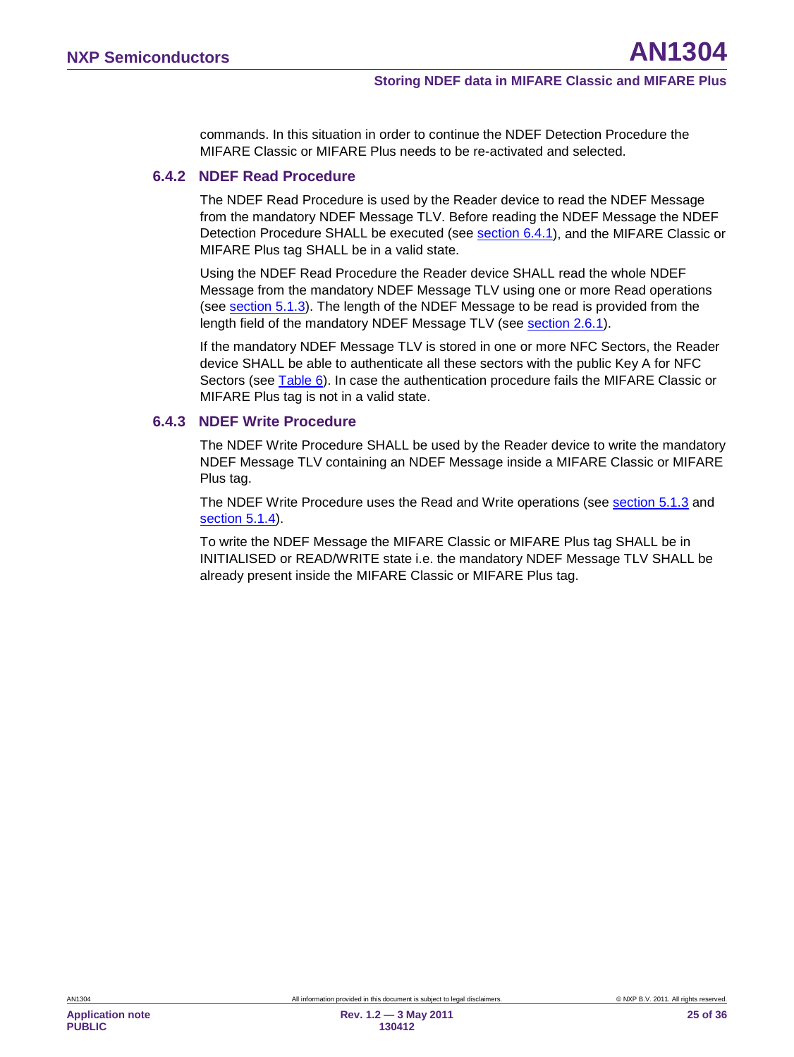commands. In this situation in order to continue the NDEF Detection Procedure the MIFARE Classic or MIFARE Plus needs to be re-activated and selected.

#### **6.4.2 NDEF Read Procedure**

<span id="page-24-0"></span>The NDEF Read Procedure is used by the Reader device to read the NDEF Message from the mandatory NDEF Message TLV. Before reading the NDEF Message the NDEF Detection Procedure SHALL be executed (see <u>section [6.4.1](#page-20-0)</u>), and the MIFARE Classic or MIFARE Plus tag SHALL be in a valid state.

Using the NDEF Read Procedure the Reader device SHALL read the whole NDEF Message from the mandatory NDEF Message TLV using one or more Read operations (see section [5.1.3\)](#page-16-2). The length of the NDEF Message to be read is provided from the length field of the mandatory NDEF Message TLV (see <u>section [2.6.1](#page-14-0)</u>).

If the mandatory NDEF Message TLV is stored in one or more NFC Sectors, the Reader device SHALL be able to authenticate all these sectors with the public Key A for NFC Sectors (see <u>Table 6</u>). In case the authentication procedure fails the MIFARE Classic or MIFARE Plus tag is not in a valid state.

#### **6.4.3 NDEF Write Procedure**

<span id="page-24-1"></span>The NDEF Write Procedure SHALL be used by the Reader device to write the mandatory NDEF Message TLV containing an NDEF Message inside a MIFARE Classic or MIFARE Plus tag.

The NDEF Write Procedure uses the Read and Write operations (see section [5.1.3](#page-16-2) and section [5.1.4](#page-16-3) ).

To write the NDEF Message the MIFARE Classic or MIFARE Plus tag SHALL be in INITIALISED or READ/WRITE state i.e. the mandatory NDEF Message TLV SHALL be already present inside the MIFARE Classic or MIFARE Plus tag.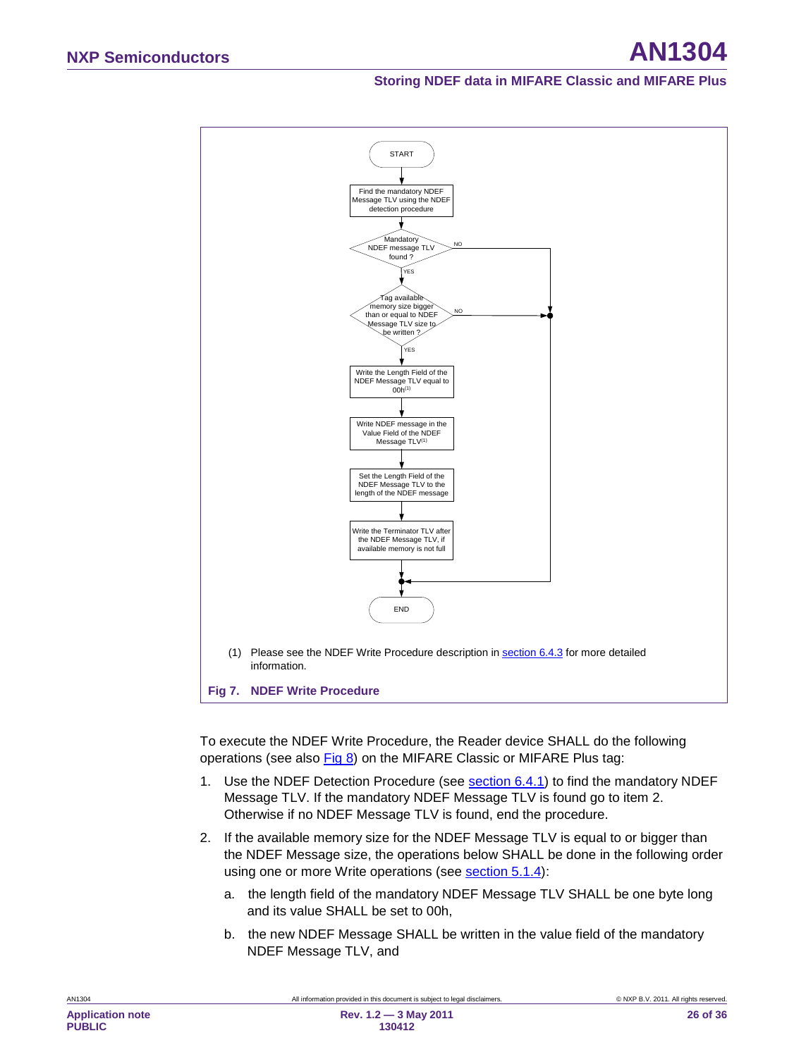

To execute the NDEF Write Procedure, the Reader device SHALL do the following operations (see also [Fig 8\)](#page-27-1) on the MIFARE Classic or MIFARE Plus tag:

- 1. Use the NDEF Detection Procedure (see <u>section [6.4.1](#page-20-0)</u>) to find the mandatory NDEF Message TLV. If the mandatory NDEF Message TLV is found go to item 2. Otherwise if no NDEF Message TLV is found, end the procedure.
- 2. If the available memory size for the NDEF Message TLV is equal to or bigger than the NDEF Message size, the operations below SHALL be done in the following order using one or more Write operations (see **section [5.1.4](#page-16-3)**):
	- a. the length field of the mandatory NDEF Message TLV SHALL be one byte long and its value SHALL be set to 00h,
	- b. the new NDEF Message SHALL be written in the value field of the mandatory NDEF Message TLV, and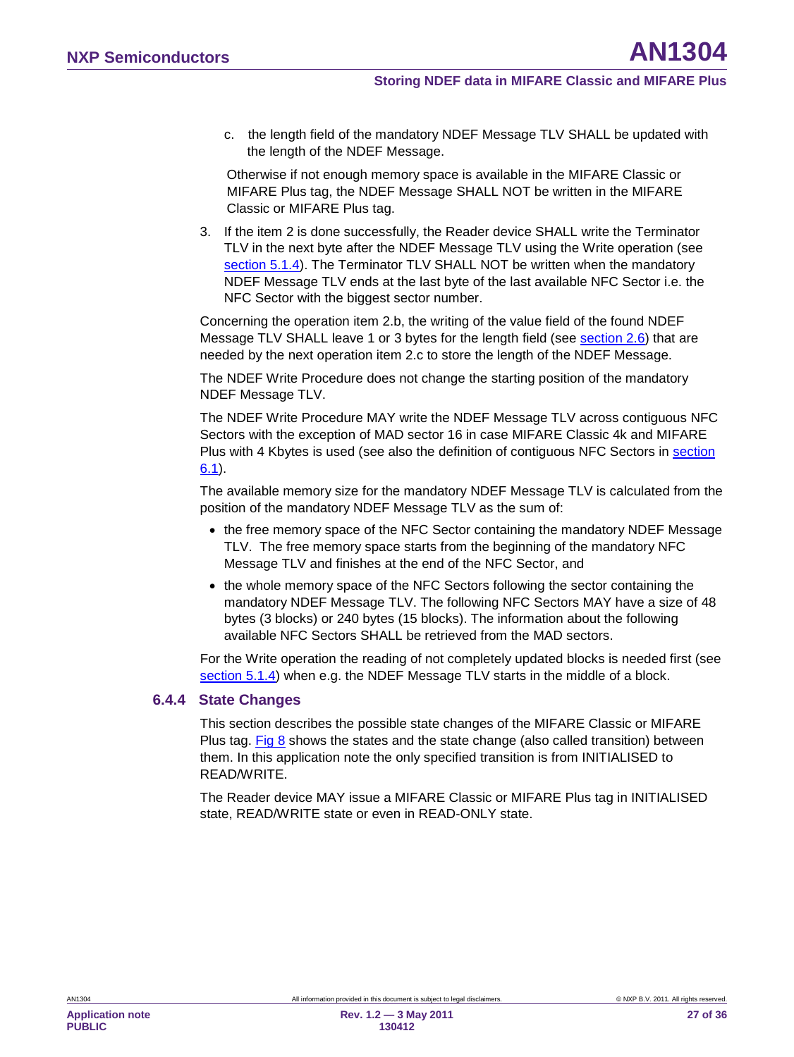c. the length field of the mandatory NDEF Message TLV SHALL be updated with the length of the NDEF Message.

Otherwise if not enough memory space is available in the MIFARE Classic or MIFARE Plus tag, the NDEF Message SHALL NOT be written in the MIFARE Classic or MIFARE Plus tag.

<span id="page-26-0"></span>3. If the item 2 is done successfully, the Reader device SHALL write the Terminator TLV in the next byte after the NDEF Message TLV using the Write operation (see section [5.1.4](#page-16-3)). The Terminator TLV SHALL NOT be written when the mandatory NDEF Message TLV ends at the last byte of the last available NFC Sector i.e. the NFC Sector with the biggest sector number.

Concerning the operation item 2.b, the writing of the value field of the found NDEF Message TLV SHALL leave 1 or 3 bytes for the length field (see <u>section [2.6](#page-12-2)</u>) that are needed by the next operation item 2.c to store the length of the NDEF Message.

The NDEF Write Procedure does not change the starting position of the mandatory NDEF Message TLV.

The NDEF Write Procedure MAY write the NDEF Message TLV across contiguous NFC Sectors with the exception of MAD sector 16 in case MIFARE Classic 4k and MIFARE Plus with 4 Kbytes is used (see also the definition of contiguous NFC Sectors in section <u>[6.1](#page-17-0)</u>).

The available memory size for the mandatory NDEF Message TLV is calculated from the position of the mandatory NDEF Message TLV as the sum of:

- the free memory space of the NFC Sector containing the mandatory NDEF Message TLV. The free memory space starts from the beginning of the mandatory NFC Message TLV and finishes at the end of the NFC Sector, and
- the whole memory space of the NFC Sectors following the sector containing the mandatory NDEF Message TLV. The following NFC Sectors MAY have a size of 48 bytes (3 blocks) or 240 bytes (15 blocks). The information about the following available NFC Sectors SHALL be retrieved from the MAD sectors.

For the Write operation the reading of not completely updated blocks is needed first (see section [5.1.4](#page-16-3)) when e.g. the NDEF Message TLV starts in the middle of a block.

#### **6.4.4 State Changes**

<span id="page-26-1"></span>This section describes the possible state changes of the MIFARE Classic or MIFARE Plus tag. [Fig 8](#page-27-1) shows the states and the state change (also called transition) between them. In this application note the only specified transition is from INITIALISED to READ/WRITE.

The Reader device MAY issue a MIFARE Classic or MIFARE Plus tag in INITIALISED state, READ/WRITE state or even in READ-ONLY state.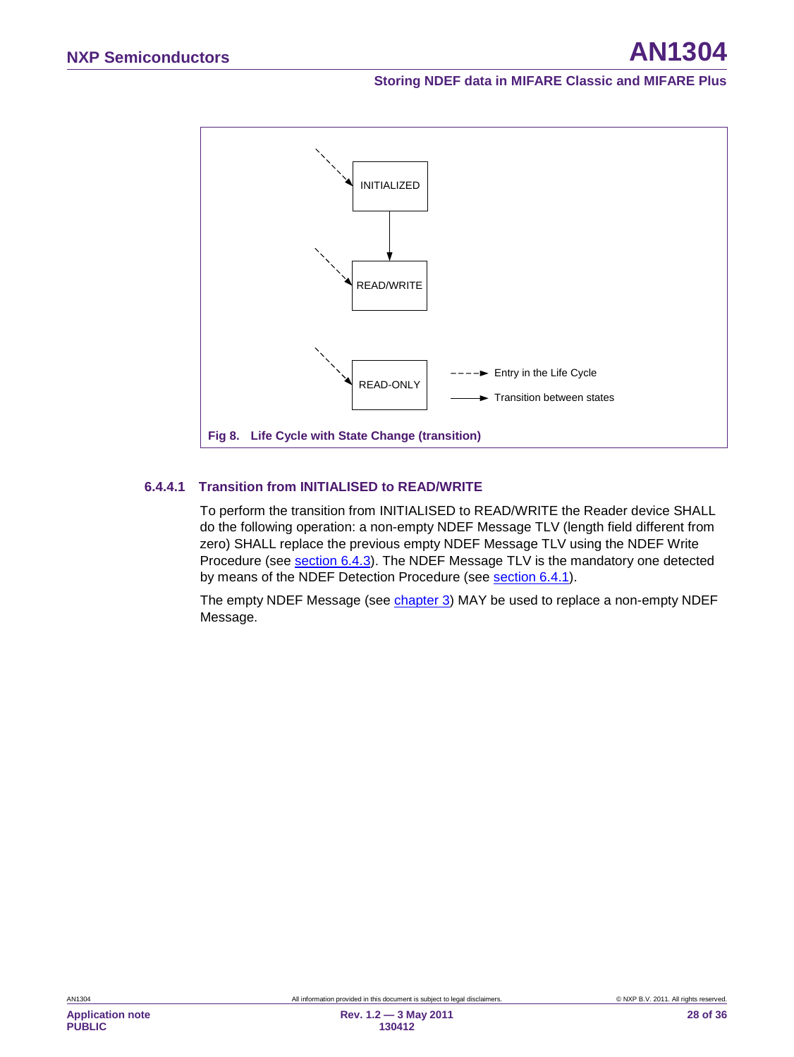

#### **6.4.4.1 Transition from INITIALISED to READ/WRITE**

<span id="page-27-2"></span><span id="page-27-1"></span>To perform the transition from INITIALISED to READ/WRITE the Reader device SHALL do the following operation: a non-empty NDEF Message TLV (length field different from zero) SHALL replace the previous empty NDEF Message TLV using the NDEF Write Procedure (see section [6.4.3\)](#page-24-1). The NDEF Message TLV is the mandatory one detected by means of the NDEF Detection Procedure (see <u>section [6.4.1](#page-20-0)</u>).

<span id="page-27-0"></span>The empty NDEF Message (see <u>chapter 3</u>) MAY be used to replace a non-empty NDEF Message.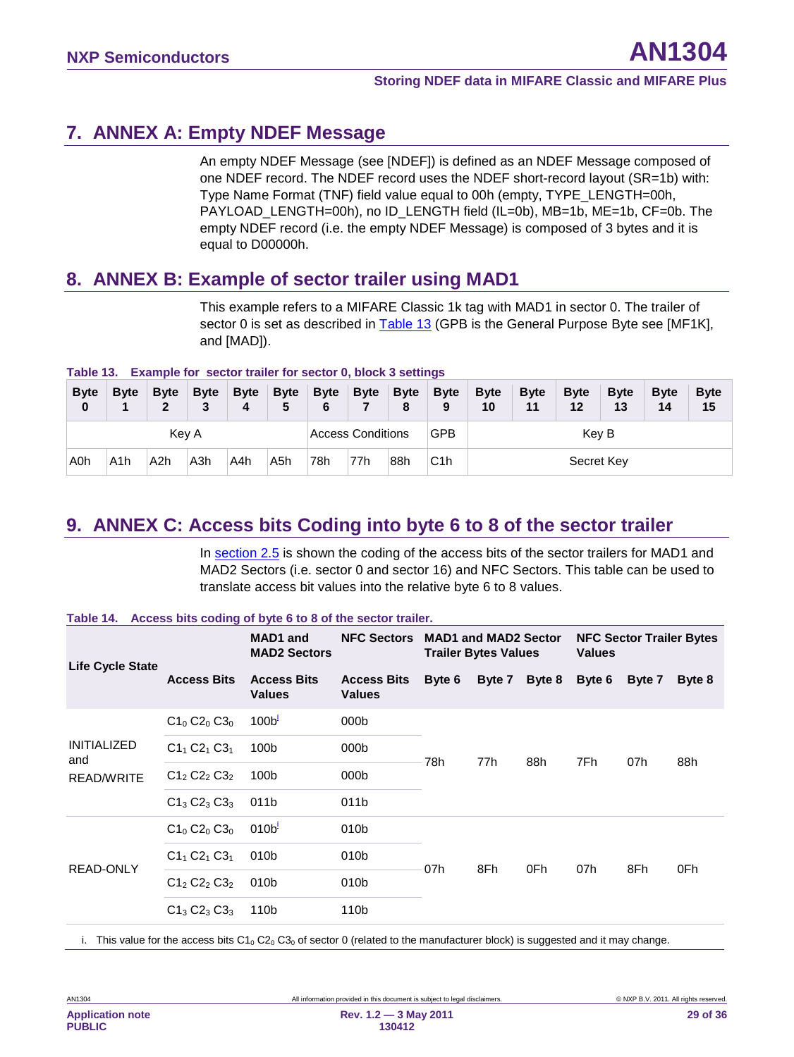## <span id="page-28-3"></span>**7. ANNEX A: Empty NDEF Message**

An empty NDEF Message (see [NDEF]) is defined as an NDEF Message composed of one NDEF record. The NDEF record uses the NDEF short-record layout (SR=1b) with: Type Name Format (TNF) field value equal to 00h (empty, TYPE\_LENGTH=00h, PAYLOAD\_LENGTH=00h), no ID\_LENGTH field (IL=0b), MB=1b, ME=1b, CF=0b. The empty NDEF record (i.e. the empty NDEF Message) is composed of 3 bytes and it is equal to D00000h.

## <span id="page-28-4"></span>**8. ANNEX B: Example of sector trailer using MAD1**

This example refers to a MIFARE Classic 1k tag with MAD1 in sector 0. The trailer of sector 0 is set as described in [Table 13](#page-28-1) (GPB is the General Purpose Byte see [MF1K], and [MAD]).

<span id="page-28-1"></span>

|  |  | Table 13. Example for sector trailer for sector 0, block 3 settings |
|--|--|---------------------------------------------------------------------|
|  |  |                                                                     |

| <b>Byte</b><br>0 | <b>B</b> vte | <b>B</b> vte<br>າ | <b>B</b> vte<br>3 | <b>Byte</b><br>4 | <b>Byte</b><br>5 | <b>Byte</b><br>6 | <b>Byte</b>              | <b>Byte</b><br>8 | <b>Byte</b><br>9 | <b>Byte</b><br>10 | <b>B</b> vte<br>11 | <b>Byte</b><br>12 | <b>B</b> vte<br>13 | <b>B</b> vte<br>14 | <b>Byte</b><br>15 |
|------------------|--------------|-------------------|-------------------|------------------|------------------|------------------|--------------------------|------------------|------------------|-------------------|--------------------|-------------------|--------------------|--------------------|-------------------|
|                  |              | Key A             |                   |                  |                  |                  | <b>Access Conditions</b> |                  | <b>GPB</b>       |                   |                    | Key B             |                    |                    |                   |
| A <sub>0</sub> h | A1h          | A <sub>2</sub> h  | A3h               | A4h              | A5h              | 78h              | 77h                      | 88h              | C <sub>1</sub> h |                   |                    | Secret Key        |                    |                    |                   |

## <span id="page-28-0"></span>**9. ANNEX C: Access bits Coding into byte 6 to 8 of the sector trailer**

In section [2.5](#page-9-1) is shown the coding of the access bits of the sector trailers for MAD1 and MAD2 Sectors (i.e. sector 0 and sector 16) and NFC Sectors. This table can be used to translate access bit values into the relative byte 6 to 8 values.

**Table 14. Access bits coding of byte 6 to 8 of the sector trailer.**

|                    | MAD1 and<br><b>MAD2 Sectors</b> | <b>NFC Sectors</b>                                                                                                                      | <b>Trailer Bytes Values</b> | <b>MAD1 and MAD2 Sector</b> |            | <b>Values</b> | <b>NFC Sector Trailer Bytes</b> |            |
|--------------------|---------------------------------|-----------------------------------------------------------------------------------------------------------------------------------------|-----------------------------|-----------------------------|------------|---------------|---------------------------------|------------|
| <b>Access Bits</b> |                                 | <b>Values</b>                                                                                                                           | Byte 6                      | Byte 7                      | Byte 8     | Byte 6        | Byte 7                          | Byte 8     |
| $C1_0 C2_0 C3_0$   |                                 | 000 <sub>b</sub>                                                                                                                        |                             |                             |            |               |                                 |            |
| $C1_1 C2_1 C3_1$   |                                 | 000b                                                                                                                                    |                             |                             |            |               |                                 |            |
| $C1_2 C2_2 C3_2$   |                                 | 000b                                                                                                                                    |                             |                             |            |               |                                 | 88h        |
| $C1_3 C2_3 C3_3$   |                                 | 011b                                                                                                                                    |                             |                             |            |               |                                 |            |
| $C1_0 C2_0 C3_0$   |                                 | 010b                                                                                                                                    |                             |                             |            |               |                                 |            |
| $C1_1 C2_1 C3_1$   |                                 | 010b                                                                                                                                    |                             |                             |            |               |                                 |            |
| $C1_2 C2_2 C3_2$   |                                 | 010 <sub>b</sub>                                                                                                                        |                             |                             |            |               |                                 | 0Fh        |
| $C1_3 C2_3 C3_3$   |                                 | 110b                                                                                                                                    |                             |                             |            |               |                                 |            |
|                    |                                 | <b>Access Bits</b><br><b>Values</b><br>100 <sup>1</sup><br>100b<br>100b<br>011b<br>010 <sup>1</sup><br>010b<br>010 <sub>b</sub><br>110b | <b>Access Bits</b>          | 78h<br>07h                  | 77h<br>8Fh | 88h<br>0Fh    | 7Fh.<br>07h                     | 07h<br>8Fh |

<span id="page-28-2"></span>i. This value for the access bits  $C1_0 C2_0 C3_0$  of sector 0 (related to the manufacturer block) is suggested and it may change.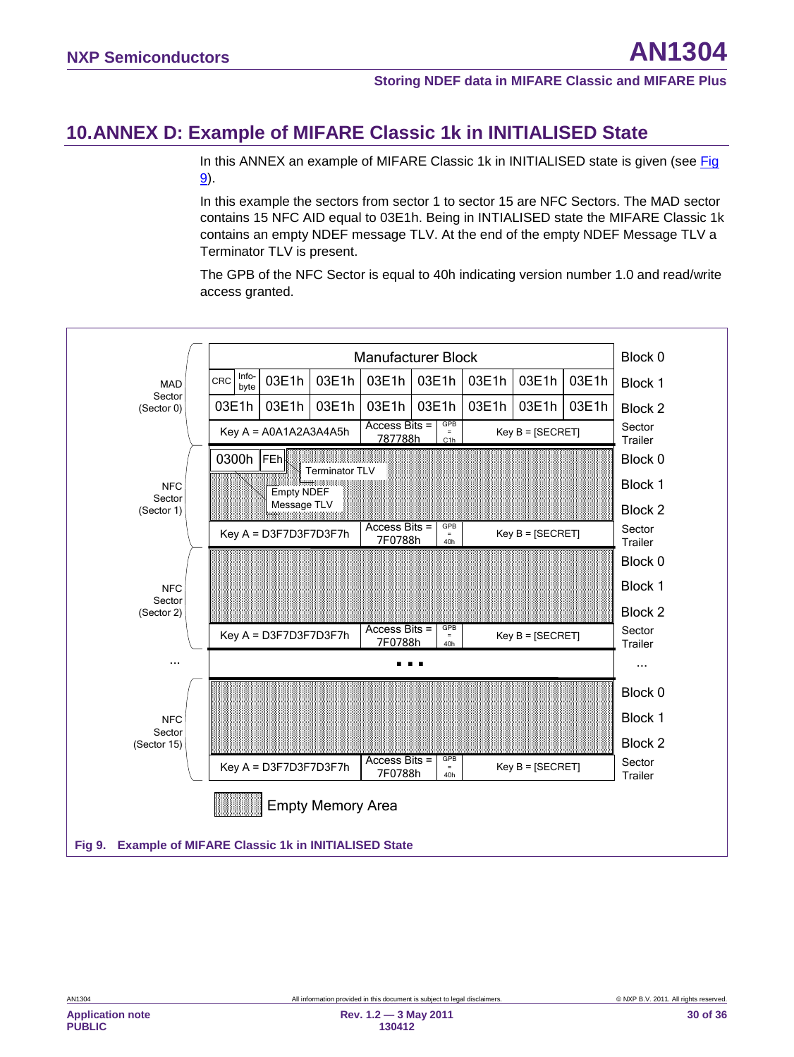## <span id="page-29-0"></span>**10.ANNEX D: Example of MIFARE Classic 1k in INITIALISED State**

In this ANNEX an example of MIFARE Classic 1k in INITIALISED state is given (see Fig. [9\)](#page-29-2).

In this example the sectors from sector 1 to sector 15 are NFC Sectors. The MAD sector contains 15 NFC AID equal to 03E1h. Being in INTIALISED state the MIFARE Classic 1k contains an empty NDEF message TLV. At the end of the empty NDEF Message TLV a Terminator TLV is present.

The GPB of the NFC Sector is equal to 40h indicating version number 1.0 and read/write access granted.

<span id="page-29-2"></span><span id="page-29-1"></span>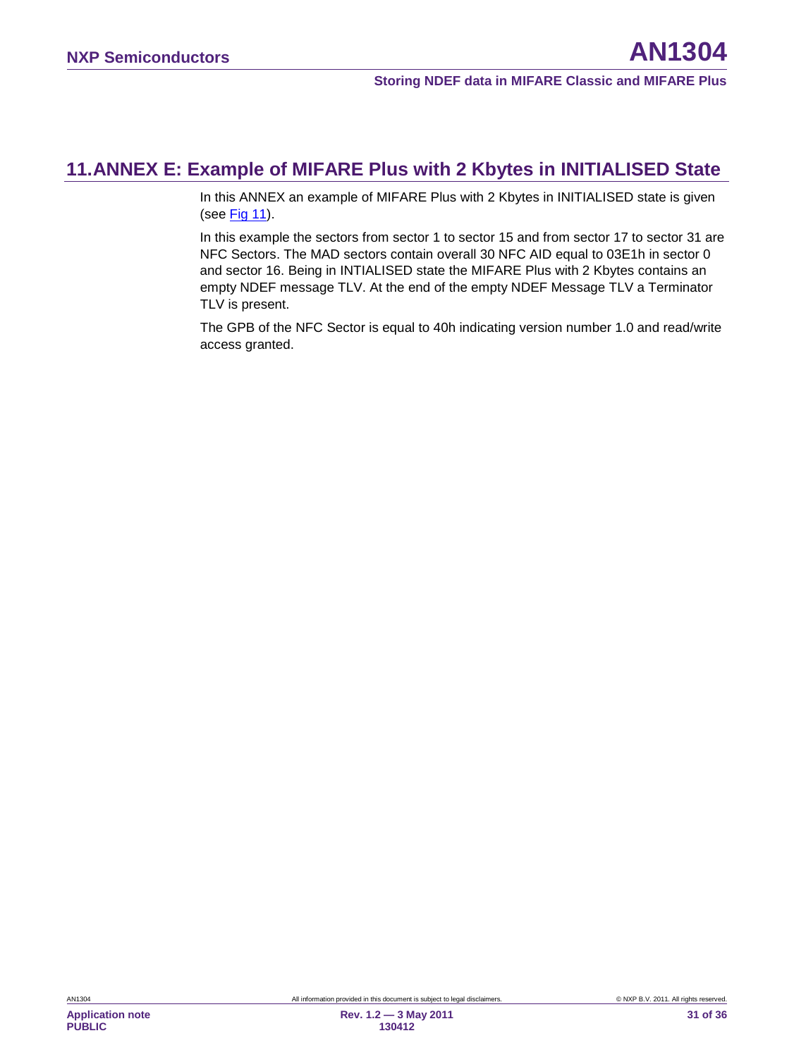## <span id="page-30-0"></span>**11.ANNEX E: Example of MIFARE Plus with 2 Kbytes in INITIALISED State**

In this ANNEX an example of MIFARE Plus with 2 Kbytes in INITIALISED state is given (see [Fig](#page-33-0) 11).

In this example the sectors from sector 1 to sector 15 and from sector 17 to sector 31 are NFC Sectors. The MAD sectors contain overall 30 NFC AID equal to 03E1h in sector 0 and sector 16. Being in INTIALISED state the MIFARE Plus with 2 Kbytes contains an empty NDEF message TLV. At the end of the empty NDEF Message TLV a Terminator TLV is present.

The GPB of the NFC Sector is equal to 40h indicating version number 1.0 and read/write access granted.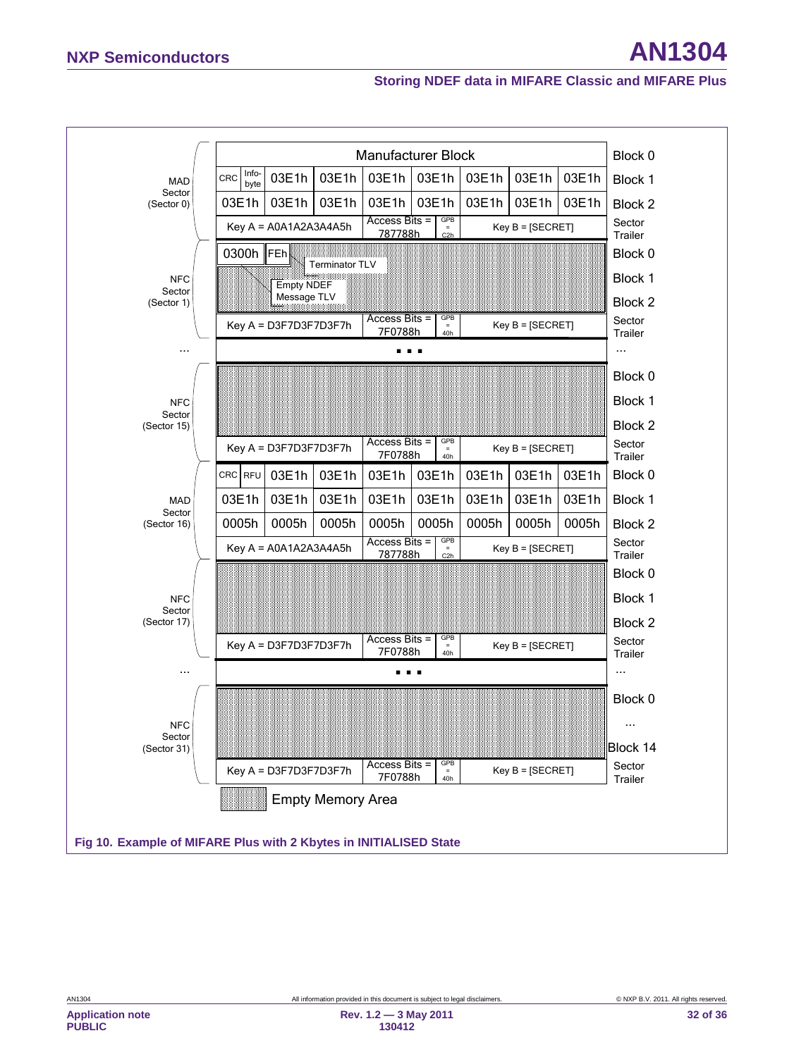

**PUBLIC**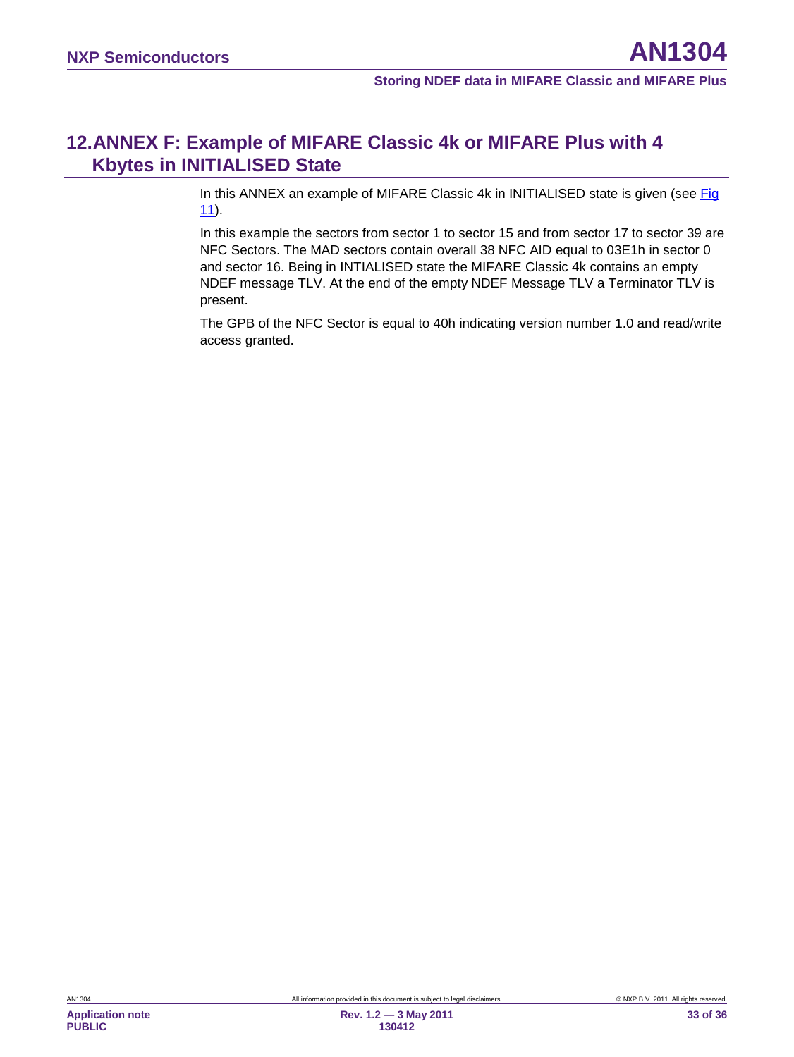## <span id="page-32-0"></span>**12.ANNEX F: Example of MIFARE Classic 4k or MIFARE Plus with 4 Kbytes in INITIALISED State**

In this ANNEX an example of MIFARE Classic 4k in INITIALISED state is given (see [Fig](#page-33-0)  [11\)](#page-33-0).

In this example the sectors from sector 1 to sector 15 and from sector 17 to sector 39 are NFC Sectors. The MAD sectors contain overall 38 NFC AID equal to 03E1h in sector 0 and sector 16. Being in INTIALISED state the MIFARE Classic 4k contains an empty NDEF message TLV. At the end of the empty NDEF Message TLV a Terminator TLV is present.

The GPB of the NFC Sector is equal to 40h indicating version number 1.0 and read/write access granted.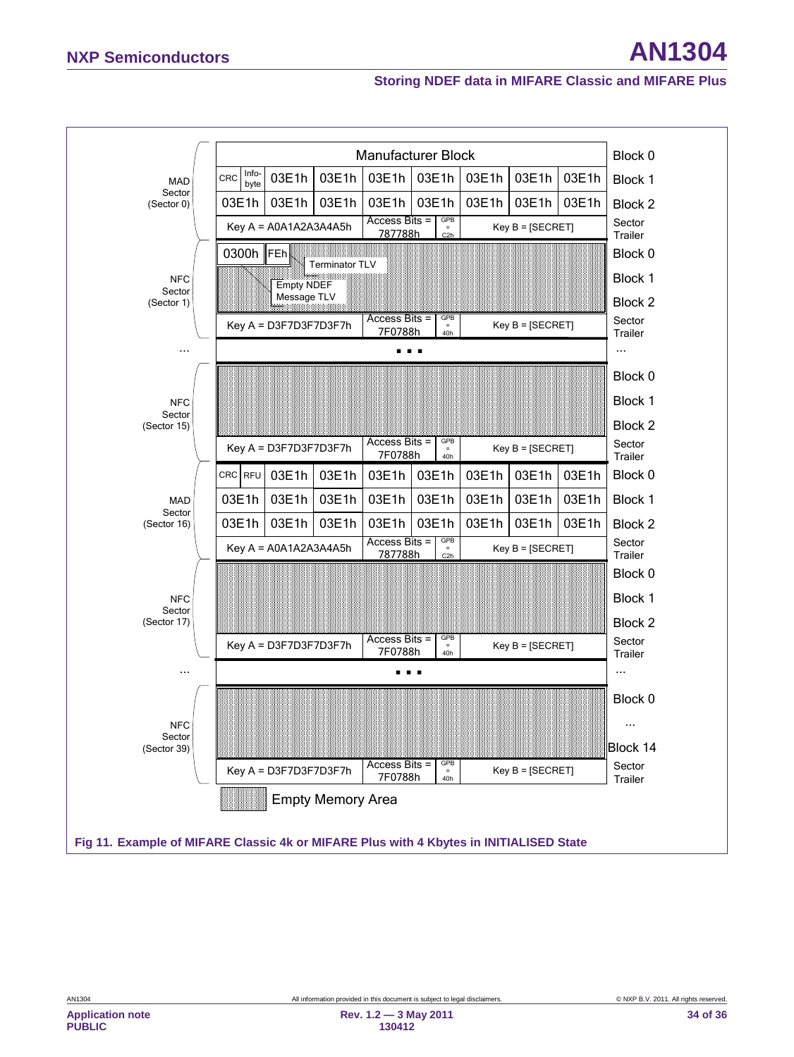<span id="page-33-0"></span>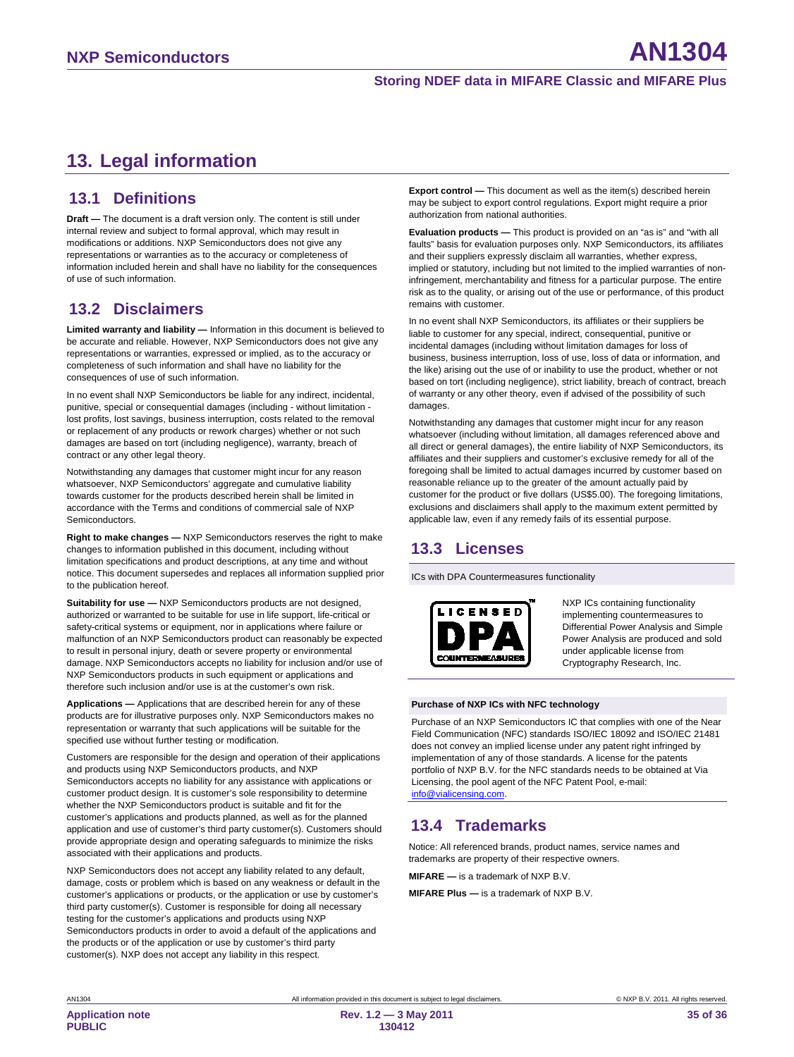## <span id="page-34-0"></span>**13. Legal information**

### <span id="page-34-1"></span>**13.1 Definitions**

**Draft —** The document is a draft version only. The content is still under internal review and subject to formal approval, which may result in modifications or additions. NXP Semiconductors does not give any representations or warranties as to the accuracy or completeness of information included herein and shall have no liability for the consequences of use of such information.

## <span id="page-34-2"></span>**13.2 Disclaimers**

**Limited warranty and liability —** Information in this document is believed to be accurate and reliable. However, NXP Semiconductors does not give any representations or warranties, expressed or implied, as to the accuracy or completeness of such information and shall have no liability for the consequences of use of such information.

In no event shall NXP Semiconductors be liable for any indirect, incidental, punitive, special or consequential damages (including - without limitation lost profits, lost savings, business interruption, costs related to the removal or replacement of any products or rework charges) whether or not such damages are based on tort (including negligence), warranty, breach of contract or any other legal theory.

Notwithstanding any damages that customer might incur for any reason whatsoever, NXP Semiconductors' aggregate and cumulative liability towards customer for the products described herein shall be limited in accordance with the Terms and conditions of commercial sale of NXP **Semiconductors** 

**Right to make changes —** NXP Semiconductors reserves the right to make changes to information published in this document, including without limitation specifications and product descriptions, at any time and without notice. This document supersedes and replaces all information supplied prior to the publication hereof.

**Suitability for use - NXP Semiconductors products are not designed,** authorized or warranted to be suitable for use in life support, life-critical or safety-critical systems or equipment, nor in applications where failure or malfunction of an NXP Semiconductors product can reasonably be expected to result in personal injury, death or severe property or environmental damage. NXP Semiconductors accepts no liability for inclusion and/or use of NXP Semiconductors products in such equipment or applications and therefore such inclusion and/or use is at the customer's own risk.

**Applications —** Applications that are described herein for any of these products are for illustrative purposes only. NXP Semiconductors makes no representation or warranty that such applications will be suitable for the specified use without further testing or modification.

Customers are responsible for the design and operation of their applications and products using NXP Semiconductors products, and NXP Semiconductors accepts no liability for any assistance with applications or customer product design. It is customer's sole responsibility to determine whether the NXP Semiconductors product is suitable and fit for the customer's applications and products planned, as well as for the planned application and use of customer's third party customer(s). Customers should provide appropriate design and operating safeguards to minimize the risks associated with their applications and products.

NXP Semiconductors does not accept any liability related to any default, damage, costs or problem which is based on any weakness or default in the customer's applications or products, or the application or use by customer's third party customer(s). Customer is responsible for doing all necessary testing for the customer's applications and products using NXP Semiconductors products in order to avoid a default of the applications and the products or of the application or use by customer's third party customer(s). NXP does not accept any liability in this respect.

**Export control —** This document as well as the item(s) described herein may be subject to export control regulations. Export might require a prior authorization from national authorities.

**Evaluation products —** This product is provided on an "as is" and "with all faults" basis for evaluation purposes only. NXP Semiconductors, its affiliates and their suppliers expressly disclaim all warranties, whether express, implied or statutory, including but not limited to the implied warranties of noninfringement, merchantability and fitness for a particular purpose. The entire risk as to the quality, or arising out of the use or performance, of this product remains with customer.

In no event shall NXP Semiconductors, its affiliates or their suppliers be liable to customer for any special, indirect, consequential, punitive or incidental damages (including without limitation damages for loss of business, business interruption, loss of use, loss of data or information, and the like) arising out the use of or inability to use the product, whether or not based on tort (including negligence), strict liability, breach of contract, breach of warranty or any other theory, even if advised of the possibility of such damages.

Notwithstanding any damages that customer might incur for any reason whatsoever (including without limitation, all damages referenced above and all direct or general damages), the entire liability of NXP Semiconductors, its affiliates and their suppliers and customer's exclusive remedy for all of the foregoing shall be limited to actual damages incurred by customer based on reasonable reliance up to the greater of the amount actually paid by customer for the product or five dollars (US\$5.00). The foregoing limitations, exclusions and disclaimers shall apply to the maximum extent permitted by applicable law, even if any remedy fails of its essential purpose.

## <span id="page-34-3"></span>**13.3 Licenses**

ICs with DPA Countermeasures functionality



NXP ICs containing functionality implementing countermeasures to Differential Power Analysis and Simple Power Analysis are produced and sold under applicable license from Cryptography Research, Inc.

#### **Purchase of NXP ICs with NFC technology**

Purchase of an NXP Semiconductors IC that complies with one of the Near Field Communication (NFC) standards ISO/IEC 18092 and ISO/IEC 21481 does not convey an implied license under any patent right infringed by implementation of any of those standards. A license for the patents portfolio of NXP B.V. for the NFC standards needs to be obtained at Via Licensing, the pool agent of the NFC Patent Pool, e-mail: [info@vialicensing.com.](mailto:info@vialicensing.com)

## <span id="page-34-4"></span>**13.4 Trademarks**

Notice: All referenced brands, product names, service names and trademarks are property of their respective owners.

**MIFARE —** is a trademark of NXP B.V.

**MIFARE Plus —** is a trademark of NXP B.V.